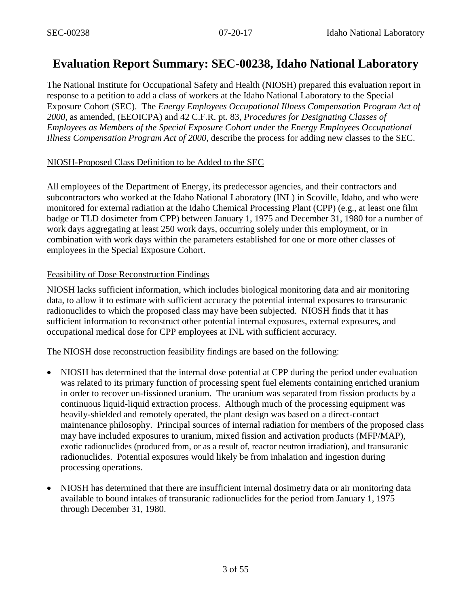# **Evaluation Report Summary: SEC-00238, Idaho National Laboratory**

The National Institute for Occupational Safety and Health (NIOSH) prepared this evaluation report in response to a petition to add a class of workers at the Idaho National Laboratory to the Special Exposure Cohort (SEC). The *Energy Employees Occupational Illness Compensation Program Act of 2000*, as amended, (EEOICPA) and 42 C.F.R. pt. 83, *Procedures for Designating Classes of Employees as Members of the Special Exposure Cohort under the Energy Employees Occupational Illness Compensation Program Act of 2000,* describe the process for adding new classes to the SEC.

#### NIOSH-Proposed Class Definition to be Added to the SEC

All employees of the Department of Energy, its predecessor agencies, and their contractors and subcontractors who worked at the Idaho National Laboratory (INL) in Scoville, Idaho, and who were monitored for external radiation at the Idaho Chemical Processing Plant (CPP) (e.g., at least one film badge or TLD dosimeter from CPP) between January 1, 1975 and December 31, 1980 for a number of work days aggregating at least 250 work days, occurring solely under this employment, or in combination with work days within the parameters established for one or more other classes of employees in the Special Exposure Cohort.

#### Feasibility of Dose Reconstruction Findings

NIOSH lacks sufficient information, which includes biological monitoring data and air monitoring data, to allow it to estimate with sufficient accuracy the potential internal exposures to transuranic radionuclides to which the proposed class may have been subjected. NIOSH finds that it has sufficient information to reconstruct other potential internal exposures, external exposures, and occupational medical dose for CPP employees at INL with sufficient accuracy.

The NIOSH dose reconstruction feasibility findings are based on the following:

- NIOSH has determined that the internal dose potential at CPP during the period under evaluation was related to its primary function of processing spent fuel elements containing enriched uranium in order to recover un-fissioned uranium. The uranium was separated from fission products by a continuous liquid-liquid extraction process. Although much of the processing equipment was heavily-shielded and remotely operated, the plant design was based on a direct-contact maintenance philosophy. Principal sources of internal radiation for members of the proposed clas s may have included exposures to uranium, mixed fission and activation products (MFP/MAP), exotic radionuclides (produced from, or as a result of, reactor neutron irradiation), and transuranic radionuclides. Potential exposures would likely be from inhalation and ingestion during processing operations.
- NIOSH has determined that there are insufficient internal dosimetry data or air monitoring data available to bound intakes of transuranic radionuclides for the period from January 1, 1975 through December 31, 1980.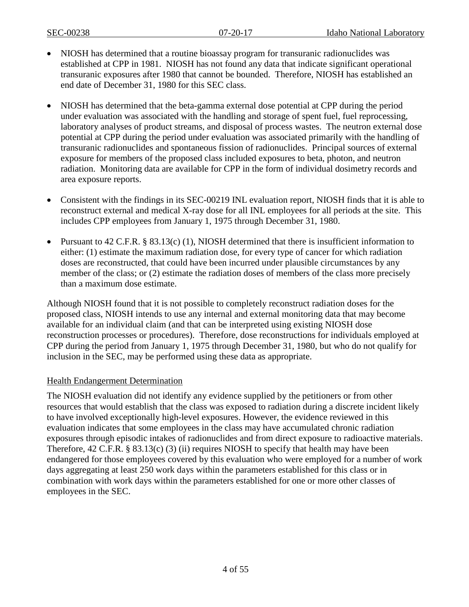- 
- NIOSH has determined that a routine bioassay program for transuranic radionuclides was established at CPP in 1981. NIOSH has not found any data that indicate significant operational transuranic exposures after 1980 that cannot be bounded. Therefore, NIOSH has established an end date of December 31, 1980 for this SEC class.
- NIOSH has determined that the beta-gamma external dose potential at CPP during the period under evaluation was associated with the handling and storage of spent fuel, fuel reprocessing, laboratory analyses of product streams, and disposal of process wastes. The neutron external dose potential at CPP during the period under evaluation was associated primarily with the handling of transuranic radionuclides and spontaneous fission of radionuclides. Principal sources of external exposure for members of the proposed class included exposures to beta, photon, and neutron radiation. Monitoring data are available for CPP in the form of individual dosimetry records and area exposure reports.
- Consistent with the findings in its SEC-00219 INL evaluation report, NIOSH finds that it is able to reconstruct external and medical X-ray dose for all INL employees for all periods at the site. This includes CPP employees from January 1, 1975 through December 31, 1980.
- Pursuant to 42 C.F.R. § 83.13(c) (1), NIOSH determined that there is insufficient information to either: (1) estimate the maximum radiation dose, for every type of cancer for which radiation doses are reconstructed, that could have been incurred under plausible circumstances by any member of the class; or (2) estimate the radiation doses of members of the class more precisely than a maximum dose estimate.

Although NIOSH found that it is not possible to completely reconstruct radiation doses for the proposed class, NIOSH intends to use any internal and external monitoring data that may become available for an individual claim (and that can be interpreted using existing NIOSH dose reconstruction processes or procedures). Therefore, dose reconstructions for individuals employed at CPP during the period from January 1, 1975 through December 31, 1980, but who do not qualify for inclusion in the SEC, may be performed using these data as appropriate.

#### Health Endangerment Determination

The NIOSH evaluation did not identify any evidence supplied by the petitioners or from other resources that would establish that the class was exposed to radiation during a discrete incident likely to have involved exceptionally high-level exposures. However, the evidence reviewed in this evaluation indicates that some employees in the class may have accumulated chronic radiation exposures through episodic intakes of radionuclides and from direct exposure to radioactive materials. Therefore, 42 C.F.R. § 83.13(c) (3) (ii) requires NIOSH to specify that health may have been endangered for those employees covered by this evaluation who were employed for a number of work days aggregating at least 250 work days within the parameters established for this class or in combination with work days within the parameters established for one or more other classes of employees in the SEC.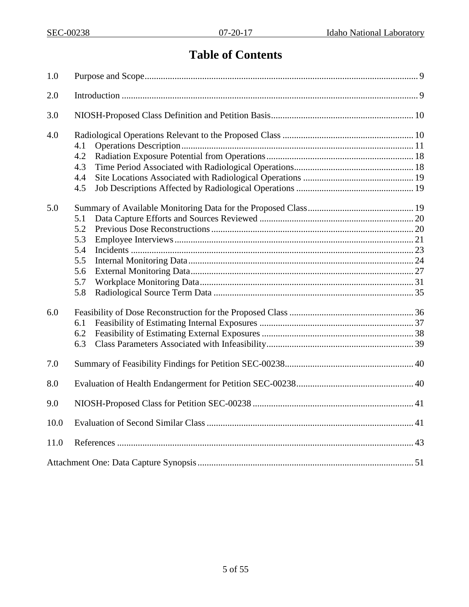# **Table of Contents**

| 1.0  |                                                      |  |  |  |  |  |
|------|------------------------------------------------------|--|--|--|--|--|
| 2.0  |                                                      |  |  |  |  |  |
| 3.0  |                                                      |  |  |  |  |  |
| 4.0  | 4.1<br>4.2<br>4.3<br>4.4<br>4.5                      |  |  |  |  |  |
| 5.0  | 5.1<br>5.2<br>5.3<br>5.4<br>5.5<br>5.6<br>5.7<br>5.8 |  |  |  |  |  |
| 6.0  | 6.1<br>6.2<br>6.3                                    |  |  |  |  |  |
| 7.0  |                                                      |  |  |  |  |  |
| 8.0  |                                                      |  |  |  |  |  |
| 9.0  |                                                      |  |  |  |  |  |
| 10.0 |                                                      |  |  |  |  |  |
| 11.0 |                                                      |  |  |  |  |  |
|      |                                                      |  |  |  |  |  |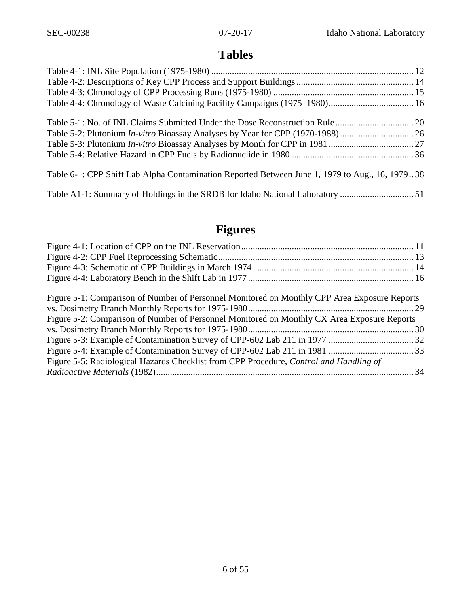# **Tables**

| Table 6-1: CPP Shift Lab Alpha Contamination Reported Between June 1, 1979 to Aug., 16, 197938 |  |
|------------------------------------------------------------------------------------------------|--|
|                                                                                                |  |

# **Figures**

| Figure 5-1: Comparison of Number of Personnel Monitored on Monthly CPP Area Exposure Reports |
|----------------------------------------------------------------------------------------------|
|                                                                                              |
| Figure 5-2: Comparison of Number of Personnel Monitored on Monthly CX Area Exposure Reports  |
|                                                                                              |
|                                                                                              |
|                                                                                              |
| Figure 5-5: Radiological Hazards Checklist from CPP Procedure, Control and Handling of       |
|                                                                                              |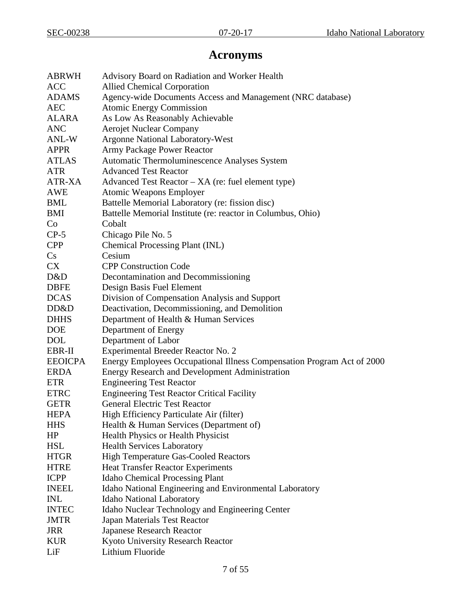# **Acronyms**

| <b>ABRWH</b>           | Advisory Board on Radiation and Worker Health                          |  |  |  |  |  |
|------------------------|------------------------------------------------------------------------|--|--|--|--|--|
| <b>ACC</b>             | <b>Allied Chemical Corporation</b>                                     |  |  |  |  |  |
| <b>ADAMS</b>           | Agency-wide Documents Access and Management (NRC database)             |  |  |  |  |  |
| <b>AEC</b>             | <b>Atomic Energy Commission</b>                                        |  |  |  |  |  |
| <b>ALARA</b>           | As Low As Reasonably Achievable                                        |  |  |  |  |  |
| <b>ANC</b>             | <b>Aerojet Nuclear Company</b>                                         |  |  |  |  |  |
| ANL-W                  | <b>Argonne National Laboratory-West</b>                                |  |  |  |  |  |
| <b>APPR</b>            | Army Package Power Reactor                                             |  |  |  |  |  |
| <b>ATLAS</b>           | Automatic Thermoluminescence Analyses System                           |  |  |  |  |  |
| <b>ATR</b>             | <b>Advanced Test Reactor</b>                                           |  |  |  |  |  |
| ATR-XA                 | Advanced Test Reactor - XA (re: fuel element type)                     |  |  |  |  |  |
| <b>AWE</b>             | <b>Atomic Weapons Employer</b>                                         |  |  |  |  |  |
| <b>BML</b>             | Battelle Memorial Laboratory (re: fission disc)                        |  |  |  |  |  |
| BMI                    | Battelle Memorial Institute (re: reactor in Columbus, Ohio)            |  |  |  |  |  |
| Co                     | Cobalt                                                                 |  |  |  |  |  |
| $CP-5$                 | Chicago Pile No. 5                                                     |  |  |  |  |  |
| <b>CPP</b>             | Chemical Processing Plant (INL)                                        |  |  |  |  |  |
| $\mathbf{C}\mathbf{s}$ | Cesium                                                                 |  |  |  |  |  |
| <b>CX</b>              | <b>CPP Construction Code</b>                                           |  |  |  |  |  |
| D&D                    | Decontamination and Decommissioning                                    |  |  |  |  |  |
| <b>DBFE</b>            | Design Basis Fuel Element                                              |  |  |  |  |  |
| <b>DCAS</b>            | Division of Compensation Analysis and Support                          |  |  |  |  |  |
| DD&D                   | Deactivation, Decommissioning, and Demolition                          |  |  |  |  |  |
| <b>DHHS</b>            | Department of Health & Human Services                                  |  |  |  |  |  |
| <b>DOE</b>             | Department of Energy                                                   |  |  |  |  |  |
| <b>DOL</b>             | Department of Labor                                                    |  |  |  |  |  |
| EBR-II                 | Experimental Breeder Reactor No. 2                                     |  |  |  |  |  |
| <b>EEOICPA</b>         | Energy Employees Occupational Illness Compensation Program Act of 2000 |  |  |  |  |  |
| <b>ERDA</b>            | <b>Energy Research and Development Administration</b>                  |  |  |  |  |  |
| <b>ETR</b>             | <b>Engineering Test Reactor</b>                                        |  |  |  |  |  |
| <b>ETRC</b>            | <b>Engineering Test Reactor Critical Facility</b>                      |  |  |  |  |  |
| <b>GETR</b>            | <b>General Electric Test Reactor</b>                                   |  |  |  |  |  |
| <b>HEPA</b>            | High Efficiency Particulate Air (filter)                               |  |  |  |  |  |
| <b>HHS</b>             | Health & Human Services (Department of)                                |  |  |  |  |  |
| HP                     | Health Physics or Health Physicist                                     |  |  |  |  |  |
| <b>HSL</b>             | <b>Health Services Laboratory</b>                                      |  |  |  |  |  |
| <b>HTGR</b>            | <b>High Temperature Gas-Cooled Reactors</b>                            |  |  |  |  |  |
| <b>HTRE</b>            | <b>Heat Transfer Reactor Experiments</b>                               |  |  |  |  |  |
| <b>ICPP</b>            | <b>Idaho Chemical Processing Plant</b>                                 |  |  |  |  |  |
| <b>INEEL</b>           | Idaho National Engineering and Environmental Laboratory                |  |  |  |  |  |
| <b>INL</b>             | <b>Idaho National Laboratory</b>                                       |  |  |  |  |  |
| <b>INTEC</b>           | Idaho Nuclear Technology and Engineering Center                        |  |  |  |  |  |
| <b>JMTR</b>            | Japan Materials Test Reactor                                           |  |  |  |  |  |
| <b>JRR</b>             | Japanese Research Reactor                                              |  |  |  |  |  |
| <b>KUR</b>             | Kyoto University Research Reactor                                      |  |  |  |  |  |
| LiF                    | Lithium Fluoride                                                       |  |  |  |  |  |
|                        |                                                                        |  |  |  |  |  |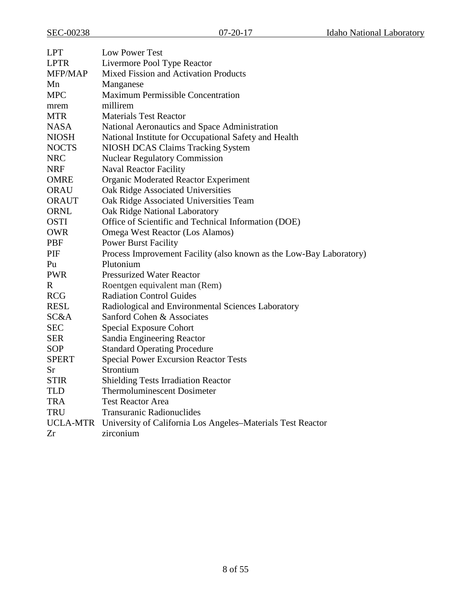| <b>LPT</b>      | Low Power Test                                                      |  |  |  |  |  |
|-----------------|---------------------------------------------------------------------|--|--|--|--|--|
| <b>LPTR</b>     | Livermore Pool Type Reactor                                         |  |  |  |  |  |
| MFP/MAP         | Mixed Fission and Activation Products                               |  |  |  |  |  |
| Mn              | Manganese                                                           |  |  |  |  |  |
| <b>MPC</b>      | <b>Maximum Permissible Concentration</b>                            |  |  |  |  |  |
| mrem            | millirem                                                            |  |  |  |  |  |
| <b>MTR</b>      | <b>Materials Test Reactor</b>                                       |  |  |  |  |  |
| <b>NASA</b>     | National Aeronautics and Space Administration                       |  |  |  |  |  |
| <b>NIOSH</b>    | National Institute for Occupational Safety and Health               |  |  |  |  |  |
| <b>NOCTS</b>    | NIOSH DCAS Claims Tracking System                                   |  |  |  |  |  |
| <b>NRC</b>      | <b>Nuclear Regulatory Commission</b>                                |  |  |  |  |  |
| <b>NRF</b>      | <b>Naval Reactor Facility</b>                                       |  |  |  |  |  |
| <b>OMRE</b>     | <b>Organic Moderated Reactor Experiment</b>                         |  |  |  |  |  |
| <b>ORAU</b>     | Oak Ridge Associated Universities                                   |  |  |  |  |  |
| <b>ORAUT</b>    | Oak Ridge Associated Universities Team                              |  |  |  |  |  |
| <b>ORNL</b>     | Oak Ridge National Laboratory                                       |  |  |  |  |  |
| <b>OSTI</b>     | Office of Scientific and Technical Information (DOE)                |  |  |  |  |  |
| <b>OWR</b>      | Omega West Reactor (Los Alamos)                                     |  |  |  |  |  |
| <b>PBF</b>      | <b>Power Burst Facility</b>                                         |  |  |  |  |  |
| PIF             | Process Improvement Facility (also known as the Low-Bay Laboratory) |  |  |  |  |  |
| Pu              | Plutonium                                                           |  |  |  |  |  |
| <b>PWR</b>      | <b>Pressurized Water Reactor</b>                                    |  |  |  |  |  |
| $\mathbf R$     | Roentgen equivalent man (Rem)                                       |  |  |  |  |  |
| <b>RCG</b>      | <b>Radiation Control Guides</b>                                     |  |  |  |  |  |
| <b>RESL</b>     | Radiological and Environmental Sciences Laboratory                  |  |  |  |  |  |
| SC&A            | Sanford Cohen & Associates                                          |  |  |  |  |  |
| <b>SEC</b>      | <b>Special Exposure Cohort</b>                                      |  |  |  |  |  |
| <b>SER</b>      | Sandia Engineering Reactor                                          |  |  |  |  |  |
| <b>SOP</b>      | <b>Standard Operating Procedure</b>                                 |  |  |  |  |  |
| <b>SPERT</b>    | <b>Special Power Excursion Reactor Tests</b>                        |  |  |  |  |  |
| Sr              | Strontium                                                           |  |  |  |  |  |
| <b>STIR</b>     | <b>Shielding Tests Irradiation Reactor</b>                          |  |  |  |  |  |
| <b>TLD</b>      | <b>Thermoluminescent Dosimeter</b>                                  |  |  |  |  |  |
| <b>TRA</b>      | <b>Test Reactor Area</b>                                            |  |  |  |  |  |
| <b>TRU</b>      | <b>Transuranic Radionuclides</b>                                    |  |  |  |  |  |
| <b>UCLA-MTR</b> | University of California Los Angeles-Materials Test Reactor         |  |  |  |  |  |
| Zr              | zirconium                                                           |  |  |  |  |  |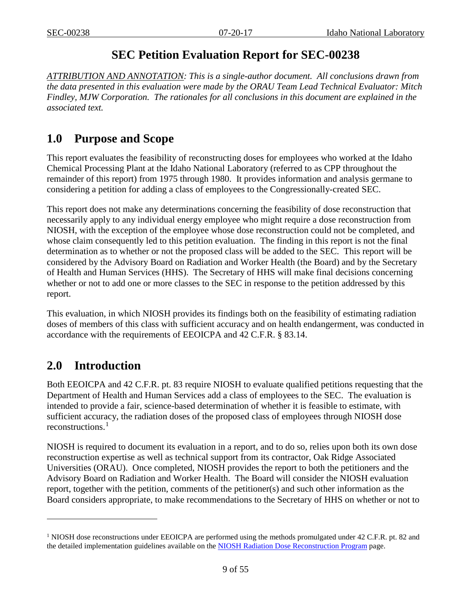## **SEC Petition Evaluation Report for SEC-00238**

*ATTRIBUTION AND ANNOTATION: This is a single-author document. All conclusions drawn from the data presented in this evaluation were made by the ORAU Team Lead Technical Evaluator: Mitch Findley, MJW Corporation. The rationales for all conclusions in this document are explained in the associated text.*

# <span id="page-8-0"></span>**1.0 Purpose and Scope**

This report evaluates the feasibility of reconstructing doses for employees who worked at the Idaho Chemical Processing Plant at the Idaho National Laboratory (referred to as CPP throughout the remainder of this report) from 1975 through 1980. It provides information and analysis germane to considering a petition for adding a class of employees to the Congressionally-created SEC.

This report does not make any determinations concerning the feasibility of dose reconstruction that necessarily apply to any individual energy employee who might require a dose reconstruction from NIOSH, with the exception of the employee whose dose reconstruction could not be completed, and whose claim consequently led to this petition evaluation. The finding in this report is not the final determination as to whether or not the proposed class will be added to the SEC. This report will be considered by the Advisory Board on Radiation and Worker Health (the Board) and by the Secretary of Health and Human Services (HHS). The Secretary of HHS will make final decisions concerning whether or not to add one or more classes to the SEC in response to the petition addressed by this report.

This evaluation, in which NIOSH provides its findings both on the feasibility of estimating radiation doses of members of this class with sufficient accuracy and on health endangerment, was conducted in accordance with the requirements of EEOICPA and 42 C.F.R. § 83.14.

# <span id="page-8-1"></span>**2.0 Introduction**

 $\overline{a}$ 

Both EEOICPA and 42 C.F.R. pt. 83 require NIOSH to evaluate qualified petitions requesting that the Department of Health and Human Services add a class of employees to the SEC. The evaluation is intended to provide a fair, science-based determination of whether it is feasible to estimate, with sufficient accuracy, the radiation doses of the proposed class of employees through NIOSH dose reconstructions.<sup>[1](#page-8-2)</sup>

NIOSH is required to document its evaluation in a report, and to do so, relies upon both its own dose reconstruction expertise as well as technical support from its contractor, Oak Ridge Associated Universities (ORAU). Once completed, NIOSH provides the report to both the petitioners and the Advisory Board on Radiation and Worker Health. The Board will consider the NIOSH evaluation report, together with the petition, comments of the petitioner(s) and such other information as the Board considers appropriate, to make recommendations to the Secretary of HHS on whether or not to

<span id="page-8-2"></span><sup>&</sup>lt;sup>1</sup> NIOSH dose reconstructions under EEOICPA are performed using the methods promulgated under 42 C.F.R. pt. 82 and the detailed implementation guidelines available on th[e NIOSH Radiation Dose Reconstruction Program](http://www.cdc.gov/niosh/ocas/) page.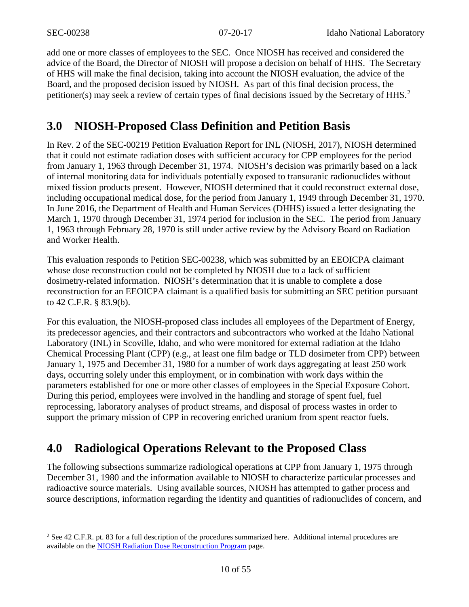$\overline{a}$ 

add one or more classes of employees to the SEC. Once NIOSH has received and considered the advice of the Board, the Director of NIOSH will propose a decision on behalf of HHS. The Secretary of HHS will make the final decision, taking into account the NIOSH evaluation, the advice of the Board, and the proposed decision issued by NIOSH. As part of this final decision process, the petitioner(s) may seek a review of certain types of final decisions issued by the Secretary of HHS.<sup>[2](#page-9-2)</sup>

# <span id="page-9-0"></span>**3.0 NIOSH-Proposed Class Definition and Petition Basis**

In Rev. 2 of the SEC-00219 Petition Evaluation Report for INL (NIOSH, 2017), NIOSH determined that it could not estimate radiation doses with sufficient accuracy for CPP employees for the period from January 1, 1963 through December 31, 1974. NIOSH's decision was primarily based on a lack of internal monitoring data for individuals potentially exposed to transuranic radionuclides without mixed fission products present. However, NIOSH determined that it could reconstruct external dose, including occupational medical dose, for the period from January 1, 1949 through December 31, 1970. In June 2016, the Department of Health and Human Services (DHHS) issued a letter designating the March 1, 1970 through December 31, 1974 period for inclusion in the SEC. The period from January 1, 1963 through February 28, 1970 is still under active review by the Advisory Board on Radiation and Worker Health.

This evaluation responds to Petition SEC-00238, which was submitted by an EEOICPA claimant whose dose reconstruction could not be completed by NIOSH due to a lack of sufficient dosimetry-related information. NIOSH's determination that it is unable to complete a dose reconstruction for an EEOICPA claimant is a qualified basis for submitting an SEC petition pursuant to 42 C.F.R. § 83.9(b).

For this evaluation, the NIOSH-proposed class includes all employees of the Department of Energy, its predecessor agencies, and their contractors and subcontractors who worked at the Idaho National Laboratory (INL) in Scoville, Idaho, and who were monitored for external radiation at the Idaho Chemical Processing Plant (CPP) (e.g., at least one film badge or TLD dosimeter from CPP) between January 1, 1975 and December 31, 1980 for a number of work days aggregating at least 250 work days, occurring solely under this employment, or in combination with work days within the parameters established for one or more other classes of employees in the Special Exposure Cohort. During this period, employees were involved in the handling and storage of spent fuel, fuel reprocessing, laboratory analyses of product streams, and disposal of process wastes in order to support the primary mission of CPP in recovering enriched uranium from spent reactor fuels.

# <span id="page-9-1"></span>**4.0 Radiological Operations Relevant to the Proposed Class**

The following subsections summarize radiological operations at CPP from January 1, 1975 through December 31, 1980 and the information available to NIOSH to characterize particular processes and radioactive source materials. Using available sources, NIOSH has attempted to gather process and source descriptions, information regarding the identity and quantities of radionuclides of concern, and

<span id="page-9-2"></span><sup>&</sup>lt;sup>2</sup> See 42 C.F.R. pt. 83 for a full description of the procedures summarized here. Additional internal procedures are available on the [NIOSH Radiation Dose Reconstruction Program](http://www.cdc.gov/niosh/ocas/) page.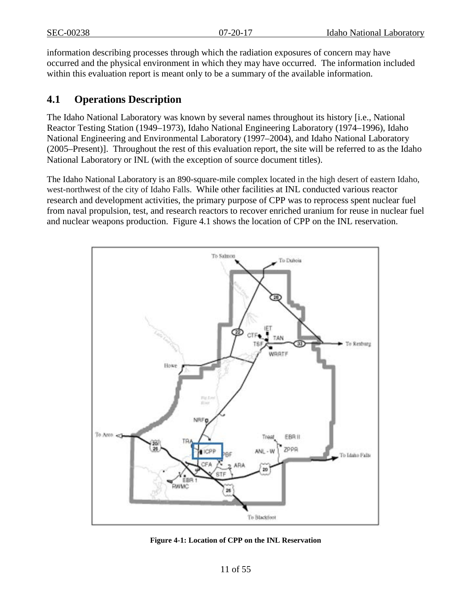information describing processes through which the radiation exposures of concern may have occurred and the physical environment in which they may have occurred. The information included within this evaluation report is meant only to be a summary of the available information.

#### <span id="page-10-0"></span>**4.1 Operations Description**

The Idaho National Laboratory was known by several names throughout its history [i.e., National Reactor Testing Station (1949–1973), Idaho National Engineering Laboratory (1974–1996), Idaho National Engineering and Environmental Laboratory (1997–2004), and Idaho National Laboratory (2005–Present)]. Throughout the rest of this evaluation report, the site will be referred to as the Idaho National Laboratory or INL (with the exception of source document titles).

The Idaho National Laboratory is an 890-square-mile complex located in the high desert of eastern Idaho, west-northwest of the city of Idaho Falls. While other facilities at INL conducted various reactor research and development activities, the primary purpose of CPP was to reprocess spent nuclear fuel from naval propulsion, test, and research reactors to recover enriched uranium for reuse in nuclear fuel and nuclear weapons production. Figure 4.1 shows the location of CPP on the INL reservation.



<span id="page-10-1"></span>**Figure 4-1: Location of CPP on the INL Reservation**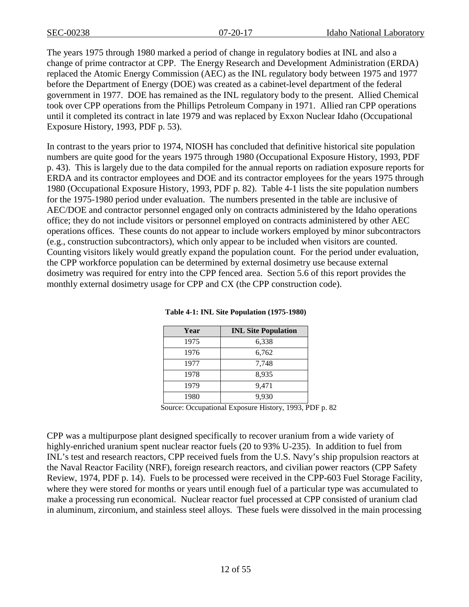The years 1975 through 1980 marked a period of change in regulatory bodies at INL and also a change of prime contractor at CPP. The Energy Research and Development Administration (ERDA) replaced the Atomic Energy Commission (AEC) as the INL regulatory body between 1975 and 1977 before the Department of Energy (DOE) was created as a cabinet-level department of the federal government in 1977. DOE has remained as the INL regulatory body to the present. Allied Chemical took over CPP operations from the Phillips Petroleum Company in 1971. Allied ran CPP operations until it completed its contract in late 1979 and was replaced by Exxon Nuclear Idaho (Occupational Exposure History, 1993, PDF p. 53).

In contrast to the years prior to 1974, NIOSH has concluded that definitive historical site population numbers are quite good for the years 1975 through 1980 (Occupational Exposure History, 1993, PDF p. 43). This is largely due to the data compiled for the annual reports on radiation exposure reports for ERDA and its contractor employees and DOE and its contractor employees for the years 1975 through 1980 (Occupational Exposure History, 1993, PDF p. 82). Table 4-1 lists the site population numbers for the 1975-1980 period under evaluation. The numbers presented in the table are inclusive of AEC/DOE and contractor personnel engaged only on contracts administered by the Idaho operations office; they do not include visitors or personnel employed on contracts administered by other AEC operations offices. These counts do not appear to include workers employed by minor subcontractors (e.g., construction subcontractors), which only appear to be included when visitors are counted. Counting visitors likely would greatly expand the population count. For the period under evaluation, the CPP workforce population can be determined by external dosimetry use because external dosimetry was required for entry into the CPP fenced area. Section 5.6 of this report provides the monthly external dosimetry usage for CPP and CX (the CPP construction code).

<span id="page-11-0"></span>

| <b>INL Site Population</b> |
|----------------------------|
| 6,338                      |
| 6,762                      |
| 7,748                      |
| 8,935                      |
| 9,471                      |
| 9,930                      |
|                            |

Source: Occupational Exposure History, 1993, PDF p. 82

CPP was a multipurpose plant designed specifically to recover uranium from a wide variety of highly-enriched uranium spent nuclear reactor fuels (20 to 93% U-235). In addition to fuel from INL's test and research reactors, CPP received fuels from the U.S. Navy's ship propulsion reactors at the Naval Reactor Facility (NRF), foreign research reactors, and civilian power reactors (CPP Safety Review, 1974, PDF p. 14). Fuels to be processed were received in the CPP-603 Fuel Storage Facility, where they were stored for months or years until enough fuel of a particular type was accumulated to make a processing run economical. Nuclear reactor fuel processed at CPP consisted of uranium clad in aluminum, zirconium, and stainless steel alloys. These fuels were dissolved in the main processing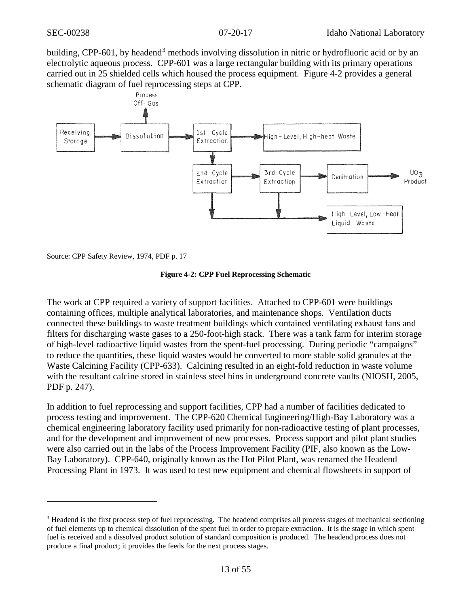$\overline{a}$ 

building, CPP-601, by headend<sup>[3](#page-12-1)</sup> methods involving dissolution in nitric or hydrofluoric acid or by an electrolytic aqueous process. CPP-601 was a large rectangular building with its primary operations carried out in 25 shielded cells which housed the process equipment. Figure 4-2 provides a general schematic diagram of fuel reprocessing steps at CPP.



<span id="page-12-0"></span>Source: CPP Safety Review, 1974, PDF p. 17

#### **Figure 4-2: CPP Fuel Reprocessing Schematic**

The work at CPP required a variety of support facilities. Attached to CPP-601 were buildings containing offices, multiple analytical laboratories, and maintenance shops. Ventilation ducts connected these buildings to waste treatment buildings which contained ventilating exhaust fans and filters for discharging waste gases to a 250-foot-high stack. There was a tank farm for interim storage of high-level radioactive liquid wastes from the spent-fuel processing. During periodic "campaigns" to reduce the quantities, these liquid wastes would be converted to more stable solid granules at the Waste Calcining Facility (CPP-633). Calcining resulted in an eight-fold reduction in waste volume with the resultant calcine stored in stainless steel bins in underground concrete vaults (NIOSH, 2005, PDF p. 247).

In addition to fuel reprocessing and support facilities, CPP had a number of facilities dedicated to process testing and improvement. The CPP-620 Chemical Engineering/High-Bay Laboratory was a chemical engineering laboratory facility used primarily for non-radioactive testing of plant processes, and for the development and improvement of new processes. Process support and pilot plant studies were also carried out in the labs of the Process Improvement Facility (PIF, also known as the Low-Bay Laboratory). CPP-640, originally known as the Hot Pilot Plant, was renamed the Headend Processing Plant in 1973. It was used to test new equipment and chemical flowsheets in support of

<span id="page-12-1"></span><sup>&</sup>lt;sup>3</sup> Headend is the first process step of fuel reprocessing. The headend comprises all process stages of mechanical sectioning of fuel elements up to chemical dissolution of the spent fuel in order to prepare extraction. It is the stage in which spent fuel is received and a dissolved product solution of standard composition is produced. The headend process does not produce a final product; it provides the feeds for the next process stages.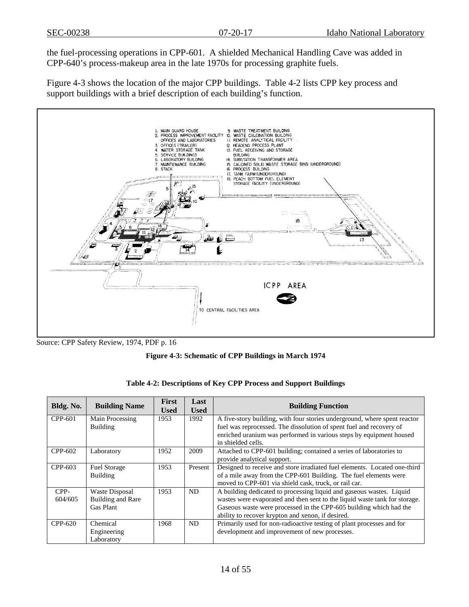the fuel-processing operations in CPP-601. A shielded Mechanical Handling Cave was added in CPP-640's process-makeup area in the late 1970s for processing graphite fuels.

Figure 4-3 shows the location of the major CPP buildings. Table 4-2 lists CPP key process and support buildings with a brief description of each building's function.



<span id="page-13-1"></span>Source: CPP Safety Review, 1974, PDF p. 16

**Figure 4-3: Schematic of CPP Buildings in March 1974**

| Table 4-2: Descriptions of Key CPP Process and Support Buildings |  |  |
|------------------------------------------------------------------|--|--|
|------------------------------------------------------------------|--|--|

<span id="page-13-0"></span>

| Bldg. No.       | <b>Building Name</b>                             | <b>First</b><br><b>Used</b> | Last<br><b>Used</b> | <b>Building Function</b>                                                                                                                                                                                                                                                      |
|-----------------|--------------------------------------------------|-----------------------------|---------------------|-------------------------------------------------------------------------------------------------------------------------------------------------------------------------------------------------------------------------------------------------------------------------------|
| $CPP-601$       | Main Processing<br>Building                      | 1953                        | 1992                | A five-story building, with four stories underground, where spent reactor<br>fuel was reprocessed. The dissolution of spent fuel and recovery of<br>enriched uranium was performed in various steps by equipment housed<br>in shielded cells.                                 |
| CPP-602         | Laboratory                                       | 1952                        | 2009                | Attached to CPP-601 building; contained a series of laboratories to<br>provide analytical support.                                                                                                                                                                            |
| CPP-603         | <b>Fuel Storage</b><br>Building                  | 1953                        | Present             | Designed to receive and store irradiated fuel elements. Located one-third<br>of a mile away from the CPP-601 Building. The fuel elements were<br>moved to CPP-601 via shield cask, truck, or rail car.                                                                        |
| CPP-<br>604/605 | Waste Disposal<br>Building and Rare<br>Gas Plant | 1953                        | ND.                 | A building dedicated to processing liquid and gaseous wastes. Liquid<br>wastes were evaporated and then sent to the liquid waste tank for storage.<br>Gaseous waste were processed in the CPP-605 building which had the<br>ability to recover krypton and xenon, if desired. |
| $CPP-620$       | Chemical<br>Engineering<br>Laboratory            | 1968                        | ND.                 | Primarily used for non-radioactive testing of plant processes and for<br>development and improvement of new processes.                                                                                                                                                        |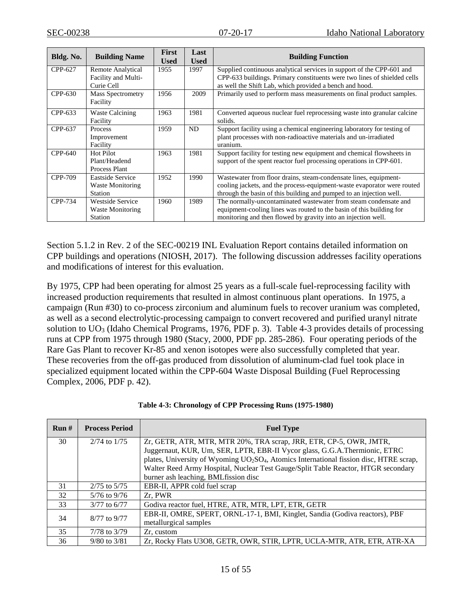| Bldg. No. | <b>Building Name</b>                                                 | <b>First</b><br><b>Used</b> | Last<br><b>Used</b> | <b>Building Function</b>                                                                                                                                                                                           |
|-----------|----------------------------------------------------------------------|-----------------------------|---------------------|--------------------------------------------------------------------------------------------------------------------------------------------------------------------------------------------------------------------|
| CPP-627   | <b>Remote Analytical</b><br>Facility and Multi-<br>Curie Cell        | 1955                        | 1997                | Supplied continuous analytical services in support of the CPP-601 and<br>CPP-633 buildings. Primary constituents were two lines of shielded cells<br>as well the Shift Lab, which provided a bench and hood.       |
| $CPP-630$ | <b>Mass Spectrometry</b><br>Facility                                 | 1956                        | 2009                | Primarily used to perform mass measurements on final product samples.                                                                                                                                              |
| CPP-633   | Waste Calcining<br>Facility                                          | 1963                        | 1981                | Converted aqueous nuclear fuel reprocessing waste into granular calcine<br>solids.                                                                                                                                 |
| CPP-637   | <b>Process</b><br>Improvement<br>Facility                            | 1959                        | <b>ND</b>           | Support facility using a chemical engineering laboratory for testing of<br>plant processes with non-radioactive materials and un-irradiated<br>uranium.                                                            |
| $CPP-640$ | Hot Pilot<br>Plant/Headend<br>Process Plant                          | 1963                        | 1981                | Support facility for testing new equipment and chemical flowsheets in<br>support of the spent reactor fuel processing operations in CPP-601.                                                                       |
| CPP-709   | Eastside Service<br><b>Waste Monitoring</b><br><b>Station</b>        | 1952                        | 1990                | Wastewater from floor drains, steam-condensate lines, equipment-<br>cooling jackets, and the process-equipment-waste evaporator were routed<br>through the basin of this building and pumped to an injection well. |
| CPP-734   | <b>Westside Service</b><br><b>Waste Monitoring</b><br><b>Station</b> | 1960                        | 1989                | The normally-uncontaminated wastewater from steam condensate and<br>equipment-cooling lines was routed to the basin of this building for<br>monitoring and then flowed by gravity into an injection well.          |

Section 5.1.2 in Rev. 2 of the SEC-00219 INL Evaluation Report contains detailed information on CPP buildings and operations (NIOSH, 2017). The following discussion addresses facility operations and modifications of interest for this evaluation.

By 1975, CPP had been operating for almost 25 years as a full-scale fuel-reprocessing facility with increased production requirements that resulted in almost continuous plant operations. In 1975, a campaign (Run #30) to co-process zirconium and aluminum fuels to recover uranium was completed, as well as a second electrolytic-processing campaign to convert recovered and purified uranyl nitrate solution to UO<sub>3</sub> (Idaho Chemical Programs, 1976, PDF p. 3). Table 4-3 provides details of processing runs at CPP from 1975 through 1980 (Stacy, 2000, PDF pp. 285-286). Four operating periods of the Rare Gas Plant to recover Kr-85 and xenon isotopes were also successfully completed that year. These recoveries from the off-gas produced from dissolution of aluminum-clad fuel took place in specialized equipment located within the CPP-604 Waste Disposal Building (Fuel Reprocessing Complex, 2006, PDF p. 42).

<span id="page-14-0"></span>

| Run#                   | <b>Process Period</b> | <b>Fuel Type</b>                                                                                                |  |  |  |  |  |
|------------------------|-----------------------|-----------------------------------------------------------------------------------------------------------------|--|--|--|--|--|
| 30                     | $2/74$ to $1/75$      | Zr, GETR, ATR, MTR, MTR 20%, TRA scrap, JRR, ETR, CP-5, OWR, JMTR,                                              |  |  |  |  |  |
|                        |                       | Juggernaut, KUR, Um, SER, LPTR, EBR-II Vycor glass, G.G.A.Thermionic, ETRC                                      |  |  |  |  |  |
|                        |                       | plates, University of Wyoming UO <sub>2</sub> SO <sub>4</sub> , Atomics International fission disc, HTRE scrap, |  |  |  |  |  |
|                        |                       | Walter Reed Army Hospital, Nuclear Test Gauge/Split Table Reactor, HTGR secondary                               |  |  |  |  |  |
|                        |                       | burner ash leaching, BML fission disc                                                                           |  |  |  |  |  |
| 31                     | $2/75$ to $5/75$      | EBR-II, APPR cold fuel scrap                                                                                    |  |  |  |  |  |
| 32                     | $5/76$ to $9/76$      | Zr. PWR                                                                                                         |  |  |  |  |  |
| 33                     | $3/77$ to $6/77$      | Godiva reactor fuel, HTRE, ATR, MTR, LPT, ETR, GETR                                                             |  |  |  |  |  |
| $8/77$ to $9/77$<br>34 |                       | EBR-II, OMRE, SPERT, ORNL-17-1, BMI, Kinglet, Sandia (Godiva reactors), PBF                                     |  |  |  |  |  |
|                        |                       | metallurgical samples                                                                                           |  |  |  |  |  |
| 35                     | 7/78 to 3/79          | Zr, custom                                                                                                      |  |  |  |  |  |
| 36                     | $9/80$ to $3/81$      | Zr, Rocky Flats U3O8, GETR, OWR, STIR, LPTR, UCLA-MTR, ATR, ETR, ATR-XA                                         |  |  |  |  |  |

|  | Table 4-3: Chronology of CPP Processing Runs (1975-1980) |
|--|----------------------------------------------------------|
|  |                                                          |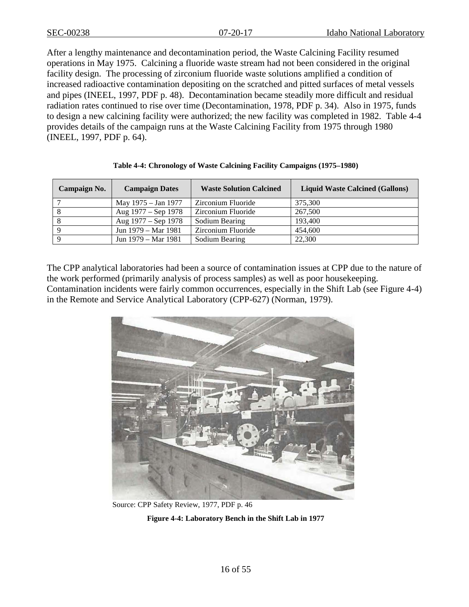| SEC-00238                                                                                    | $07 - 20 - 17$ | <b>Idaho National Laboratory</b> |
|----------------------------------------------------------------------------------------------|----------------|----------------------------------|
|                                                                                              |                |                                  |
| After a lengthy maintenance and decontamination period, the Waste Calcining Facility resumed |                |                                  |

operations in May 1975. Calcining a fluoride waste stream had not been considered in the original facility design. The processing of zirconium fluoride waste solutions amplified a condition of increased radioactive contamination depositing on the scratched and pitted surfaces of metal vessels and pipes (INEEL, 1997, PDF p. 48). Decontamination became steadily more difficult and residual radiation rates continued to rise over time (Decontamination, 1978, PDF p. 34). Also in 1975, funds to design a new calcining facility were authorized; the new facility was completed in 1982. Table 4-4 provides details of the campaign runs at the Waste Calcining Facility from 1975 through 1980 (INEEL, 1997, PDF p. 64).

<span id="page-15-0"></span>

| Campaign No. | <b>Campaign Dates</b> | <b>Waste Solution Calcined</b> | <b>Liquid Waste Calcined (Gallons)</b> |
|--------------|-----------------------|--------------------------------|----------------------------------------|
|              | May 1975 – Jan 1977   | Zirconium Fluoride             | 375,300                                |
| -8           | Aug 1977 – Sep 1978   | Zirconium Fluoride             | 267,500                                |
| 8            | Aug $1977 -$ Sep 1978 | Sodium Bearing                 | 193,400                                |
| $\mathbf{Q}$ | Jun 1979 – Mar 1981   | Zirconium Fluoride             | 454,600                                |
| -9           | Jun 1979 – Mar 1981   | Sodium Bearing                 | 22,300                                 |

The CPP analytical laboratories had been a source of contamination issues at CPP due to the nature of the work performed (primarily analysis of process samples) as well as poor housekeeping. Contamination incidents were fairly common occurrences, especially in the Shift Lab (see Figure 4-4) in the Remote and Service Analytical Laboratory (CPP-627) (Norman, 1979).

<span id="page-15-1"></span>

**Figure 4-4: Laboratory Bench in the Shift Lab in 1977** Source: CPP Safety Review, 1977, PDF p. 46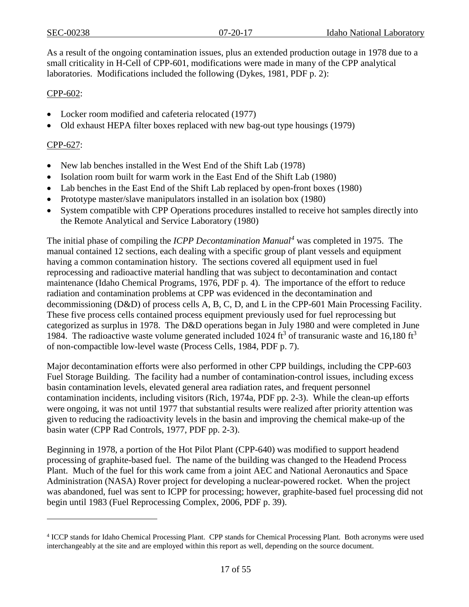As a result of the ongoing contamination issues, plus an extended production outage in 1978 due to a small criticality in H-Cell of CPP-601, modifications were made in many of the CPP analytical laboratories. Modifications included the following (Dykes, 1981, PDF p. 2):

#### CPP-602:

- Locker room modified and cafeteria relocated (1977)
- Old exhaust HEPA filter boxes replaced with new bag-out type housings (1979)

#### CPP-627:

 $\overline{a}$ 

- New lab benches installed in the West End of the Shift Lab (1978)
- Isolation room built for warm work in the East End of the Shift Lab (1980)
- Lab benches in the East End of the Shift Lab replaced by open-front boxes (1980)
- Prototype master/slave manipulators installed in an isolation box (1980)
- System compatible with CPP Operations procedures installed to receive hot samples directly into the Remote Analytical and Service Laboratory (1980)

The initial phase of compiling the *ICPP Decontamination Manual[4](#page-16-0)* was completed in 1975. The manual contained 12 sections, each dealing with a specific group of plant vessels and equipment having a common contamination history. The sections covered all equipment used in fuel reprocessing and radioactive material handling that was subject to decontamination and contact maintenance (Idaho Chemical Programs, 1976, PDF p. 4). The importance of the effort to reduce radiation and contamination problems at CPP was evidenced in the decontamination and decommissioning (D&D) of process cells A, B, C, D, and L in the CPP-601 Main Processing Facility. These five process cells contained process equipment previously used for fuel reprocessing but categorized as surplus in 1978. The D&D operations began in July 1980 and were completed in June 1984. The radioactive waste volume generated included 1024 ft<sup>3</sup> of transuranic waste and 16,180 ft<sup>3</sup> of non-compactible low-level waste (Process Cells, 1984, PDF p. 7).

Major decontamination efforts were also performed in other CPP buildings, including the CPP-603 Fuel Storage Building. The facility had a number of contamination-control issues, including excess basin contamination levels, elevated general area radiation rates, and frequent personnel contamination incidents, including visitors (Rich, 1974a, PDF pp. 2-3). While the clean-up efforts were ongoing, it was not until 1977 that substantial results were realized after priority attention was given to reducing the radioactivity levels in the basin and improving the chemical make-up of the basin water (CPP Rad Controls, 1977, PDF pp. 2-3).

Beginning in 1978, a portion of the Hot Pilot Plant (CPP-640) was modified to support headend processing of graphite-based fuel. The name of the building was changed to the Headend Process Plant. Much of the fuel for this work came from a joint AEC and National Aeronautics and Space Administration (NASA) Rover project for developing a nuclear-powered rocket. When the project was abandoned, fuel was sent to ICPP for processing; however, graphite-based fuel processing did not begin until 1983 (Fuel Reprocessing Complex, 2006, PDF p. 39).

<span id="page-16-0"></span><sup>4</sup> ICCP stands for Idaho Chemical Processing Plant. CPP stands for Chemical Processing Plant. Both acronyms were used interchangeably at the site and are employed within this report as well, depending on the source document.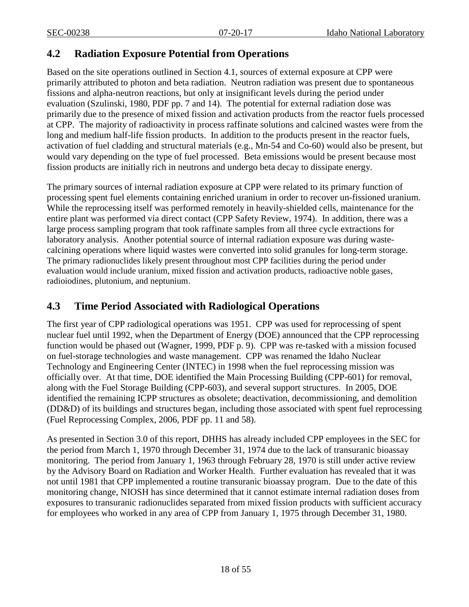### <span id="page-17-0"></span>**4.2 Radiation Exposure Potential from Operations**

Based on the site operations outlined in Section 4.1, sources of external exposure at CPP were primarily attributed to photon and beta radiation. Neutron radiation was present due to spontaneous fissions and alpha-neutron reactions, but only at insignificant levels during the period under evaluation (Szulinski, 1980, PDF pp. 7 and 14). The potential for external radiation dose was primarily due to the presence of mixed fission and activation products from the reactor fuels processed at CPP. The majority of radioactivity in process raffinate solutions and calcined wastes were from the long and medium half-life fission products. In addition to the products present in the reactor fuels, activation of fuel cladding and structural materials (e.g., Mn-54 and Co-60) would also be present, but would vary depending on the type of fuel processed. Beta emissions would be present because most fission products are initially rich in neutrons and undergo beta decay to dissipate energy.

The primary sources of internal radiation exposure at CPP were related to its primary function of processing spent fuel elements containing enriched uranium in order to recover un-fissioned uranium. While the reprocessing itself was performed remotely in heavily-shielded cells, maintenance for the entire plant was performed via direct contact (CPP Safety Review, 1974). In addition, there was a large process sampling program that took raffinate samples from all three cycle extractions for laboratory analysis. Another potential source of internal radiation exposure was during wastecalcining operations where liquid wastes were converted into solid granules for long-term storage. The primary radionuclides likely present throughout most CPP facilities during the period under evaluation would include uranium, mixed fission and activation products, radioactive noble gases, radioiodines, plutonium, and neptunium.

### <span id="page-17-1"></span>**4.3 Time Period Associated with Radiological Operations**

The first year of CPP radiological operations was 1951. CPP was used for reprocessing of spent nuclear fuel until 1992, when the Department of Energy (DOE) announced that the CPP reprocessing function would be phased out (Wagner, 1999, PDF p. 9). CPP was re-tasked with a mission focused on fuel-storage technologies and waste management. CPP was renamed the Idaho Nuclear Technology and Engineering Center (INTEC) in 1998 when the fuel reprocessing mission was officially over. At that time, DOE identified the Main Processing Building (CPP-601) for removal, along with the Fuel Storage Building (CPP-603), and several support structures. In 2005, DOE identified the remaining ICPP structures as obsolete; deactivation, decommissioning, and demolition (DD&D) of its buildings and structures began, including those associated with spent fuel reprocessing (Fuel Reprocessing Complex, 2006, PDF pp. 11 and 58).

As presented in Section 3.0 of this report, DHHS has already included CPP employees in the SEC for the period from March 1, 1970 through December 31, 1974 due to the lack of transuranic bioassay monitoring. The period from January 1, 1963 through February 28, 1970 is still under active review by the Advisory Board on Radiation and Worker Health. Further evaluation has revealed that it was not until 1981 that CPP implemented a routine transuranic bioassay program. Due to the date of this monitoring change, NIOSH has since determined that it cannot estimate internal radiation doses from exposures to transuranic radionuclides separated from mixed fission products with sufficient accuracy for employees who worked in any area of CPP from January 1, 1975 through December 31, 1980.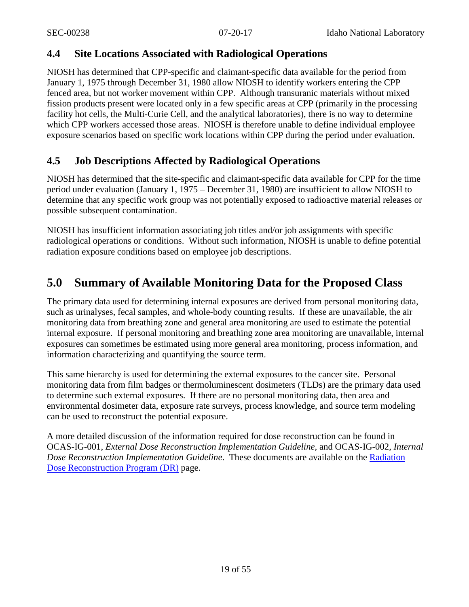#### <span id="page-18-0"></span>**4.4 Site Locations Associated with Radiological Operations**

NIOSH has determined that CPP-specific and claimant-specific data available for the period from January 1, 1975 through December 31, 1980 allow NIOSH to identify workers entering the CPP fenced area, but not worker movement within CPP. Although transuranic materials without mixed fission products present were located only in a few specific areas at CPP (primarily in the processing facility hot cells, the Multi-Curie Cell, and the analytical laboratories), there is no way to determine which CPP workers accessed those areas. NIOSH is therefore unable to define individual employee exposure scenarios based on specific work locations within CPP during the period under evaluation.

### <span id="page-18-1"></span>**4.5 Job Descriptions Affected by Radiological Operations**

NIOSH has determined that the site-specific and claimant-specific data available for CPP for the time period under evaluation (January 1, 1975 – December 31, 1980) are insufficient to allow NIOSH to determine that any specific work group was not potentially exposed to radioactive material releases or possible subsequent contamination.

NIOSH has insufficient information associating job titles and/or job assignments with specific radiological operations or conditions. Without such information, NIOSH is unable to define potential radiation exposure conditions based on employee job descriptions.

# <span id="page-18-2"></span>**5.0 Summary of Available Monitoring Data for the Proposed Class**

The primary data used for determining internal exposures are derived from personal monitoring data, such as urinalyses, fecal samples, and whole-body counting results. If these are unavailable, the air monitoring data from breathing zone and general area monitoring are used to estimate the potential internal exposure. If personal monitoring and breathing zone area monitoring are unavailable, internal exposures can sometimes be estimated using more general area monitoring, process information, and information characterizing and quantifying the source term.

This same hierarchy is used for determining the external exposures to the cancer site. Personal monitoring data from film badges or thermoluminescent dosimeters (TLDs) are the primary data used to determine such external exposures. If there are no personal monitoring data, then area and environmental dosimeter data, exposure rate surveys, process knowledge, and source term modeling can be used to reconstruct the potential exposure.

A more detailed discussion of the information required for dose reconstruction can be found in OCAS-IG-001, *External Dose Reconstruction Implementation Guideline,* and OCAS-IG-002, *Internal Dose Reconstruction Implementation Guideline*. These documents are available on the [Radiation](http://www.cdc.gov/niosh/ocas/ocasdose.html)  [Dose Reconstruction Program \(DR\)](http://www.cdc.gov/niosh/ocas/ocasdose.html) page.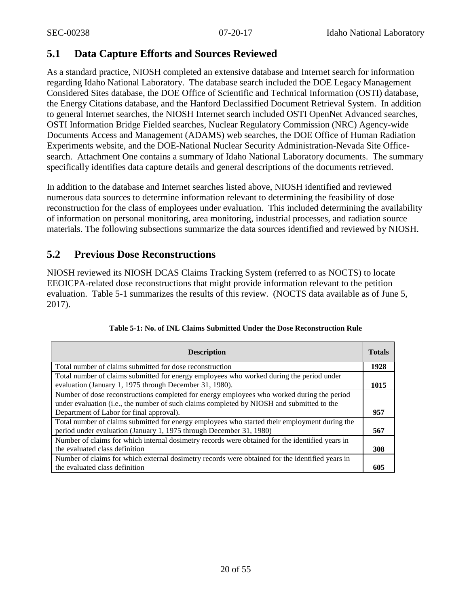### <span id="page-19-0"></span>**5.1 Data Capture Efforts and Sources Reviewed**

As a standard practice, NIOSH completed an extensive database and Internet search for information regarding Idaho National Laboratory. The database search included the DOE Legacy Management Considered Sites database, the DOE Office of Scientific and Technical Information (OSTI) database, the Energy Citations database, and the Hanford Declassified Document Retrieval System. In addition to general Internet searches, the NIOSH Internet search included OSTI OpenNet Advanced searches, OSTI Information Bridge Fielded searches, Nuclear Regulatory Commission (NRC) Agency-wide Documents Access and Management (ADAMS) web searches, the DOE Office of Human Radiation Experiments website, and the DOE-National Nuclear Security Administration-Nevada Site Officesearch. Attachment One contains a summary of Idaho National Laboratory documents. The summary specifically identifies data capture details and general descriptions of the documents retrieved.

In addition to the database and Internet searches listed above, NIOSH identified and reviewed numerous data sources to determine information relevant to determining the feasibility of dose reconstruction for the class of employees under evaluation. This included determining the availability of information on personal monitoring, area monitoring, industrial processes, and radiation source materials. The following subsections summarize the data sources identified and reviewed by NIOSH.

### <span id="page-19-1"></span>**5.2 Previous Dose Reconstructions**

NIOSH reviewed its NIOSH DCAS Claims Tracking System (referred to as NOCTS) to locate EEOICPA-related dose reconstructions that might provide information relevant to the petition evaluation. Table 5-1 summarizes the results of this review. (NOCTS data available as of June 5, 2017).

<span id="page-19-2"></span>

| <b>Description</b>                                                                                                                                                                      | <b>Totals</b> |
|-----------------------------------------------------------------------------------------------------------------------------------------------------------------------------------------|---------------|
| Total number of claims submitted for dose reconstruction                                                                                                                                | 1928          |
| Total number of claims submitted for energy employees who worked during the period under<br>evaluation (January 1, 1975 through December 31, 1980).                                     | 1015          |
| Number of dose reconstructions completed for energy employees who worked during the period<br>under evaluation (i.e., the number of such claims completed by NIOSH and submitted to the |               |
| Department of Labor for final approval).                                                                                                                                                | 957           |
| Total number of claims submitted for energy employees who started their employment during the<br>period under evaluation (January 1, 1975 through December 31, 1980)                    | 567           |
| Number of claims for which internal dosimetry records were obtained for the identified years in<br>the evaluated class definition                                                       | 308           |
| Number of claims for which external dosimetry records were obtained for the identified years in<br>the evaluated class definition                                                       | 605           |

|  | Table 5-1: No. of INL Claims Submitted Under the Dose Reconstruction Rule |
|--|---------------------------------------------------------------------------|
|  |                                                                           |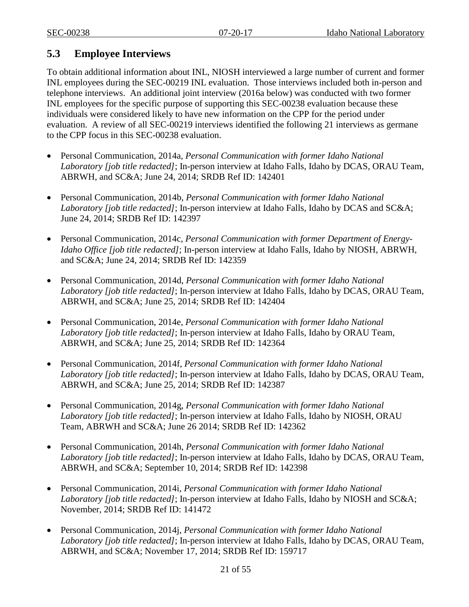### <span id="page-20-0"></span>**5.3 Employee Interviews**

To obtain additional information about INL, NIOSH interviewed a large number of current and former INL employees during the SEC-00219 INL evaluation. Those interviews included both in-person and telephone interviews. An additional joint interview (2016a below) was conducted with two former INL employees for the specific purpose of supporting this SEC-00238 evaluation because these individuals were considered likely to have new information on the CPP for the period under evaluation. A review of all SEC-00219 interviews identified the following 21 interviews as germane to the CPP focus in this SEC-00238 evaluation.

- Personal Communication, 2014a, *Personal Communication with former Idaho National Laboratory [job title redacted]*; In-person interview at Idaho Falls, Idaho by DCAS, ORAU Team, ABRWH, and SC&A; June 24, 2014; SRDB Ref ID: 142401
- Personal Communication, 2014b, *Personal Communication with former Idaho National Laboratory [job title redacted]*; In-person interview at Idaho Falls, Idaho by DCAS and SC&A; June 24, 2014; SRDB Ref ID: 142397
- Personal Communication, 2014c, *Personal Communication with former Department of Energy-Idaho Office [job title redacted]*; In-person interview at Idaho Falls, Idaho by NIOSH, ABRWH, and SC&A; June 24, 2014; SRDB Ref ID: 142359
- Personal Communication, 2014d, *Personal Communication with former Idaho National Laboratory [job title redacted]*; In-person interview at Idaho Falls, Idaho by DCAS, ORAU Team, ABRWH, and SC&A; June 25, 2014; SRDB Ref ID: 142404
- Personal Communication, 2014e, *Personal Communication with former Idaho National Laboratory [job title redacted]*; In-person interview at Idaho Falls, Idaho by ORAU Team, ABRWH, and SC&A; June 25, 2014; SRDB Ref ID: 142364
- Personal Communication, 2014f, *Personal Communication with former Idaho National Laboratory [job title redacted]*; In-person interview at Idaho Falls, Idaho by DCAS, ORAU Team, ABRWH, and SC&A; June 25, 2014; SRDB Ref ID: 142387
- Personal Communication, 2014g, *Personal Communication with former Idaho National Laboratory [job title redacted]*; In-person interview at Idaho Falls, Idaho by NIOSH, ORAU Team, ABRWH and SC&A; June 26 2014; SRDB Ref ID: 142362
- Personal Communication, 2014h, *Personal Communication with former Idaho National Laboratory [job title redacted]*; In-person interview at Idaho Falls, Idaho by DCAS, ORAU Team, ABRWH, and SC&A; September 10, 2014; SRDB Ref ID: 142398
- Personal Communication, 2014i, *Personal Communication with former Idaho National Laboratory [job title redacted]*; In-person interview at Idaho Falls, Idaho by NIOSH and SC&A; November, 2014; SRDB Ref ID: 141472
- Personal Communication, 2014j, *Personal Communication with former Idaho National Laboratory [job title redacted]*; In-person interview at Idaho Falls, Idaho by DCAS, ORAU Team, ABRWH, and SC&A; November 17, 2014; SRDB Ref ID: 159717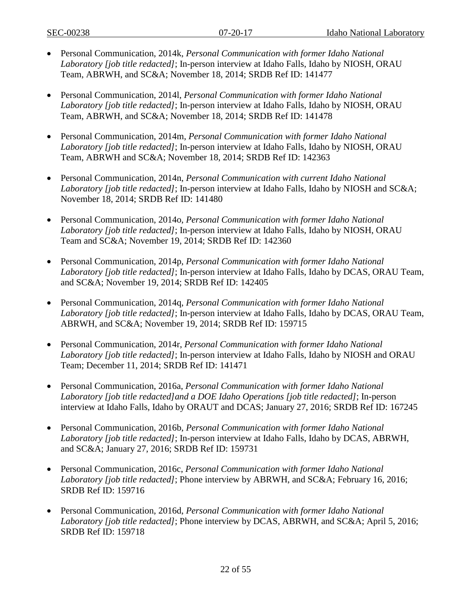- Personal Communication, 2014k, *Personal Communication with former Idaho National Laboratory [job title redacted]*; In-person interview at Idaho Falls, Idaho by NIOSH, ORAU Team, ABRWH, and SC&A; November 18, 2014; SRDB Ref ID: 141477
- Personal Communication, 2014l, *Personal Communication with former Idaho National Laboratory [job title redacted]*; In-person interview at Idaho Falls, Idaho by NIOSH, ORAU Team, ABRWH, and SC&A; November 18, 2014; SRDB Ref ID: 141478
- Personal Communication, 2014m, *Personal Communication with former Idaho National Laboratory [job title redacted]*; In-person interview at Idaho Falls, Idaho by NIOSH, ORAU Team, ABRWH and SC&A; November 18, 2014; SRDB Ref ID: 142363
- Personal Communication, 2014n, *Personal Communication with current Idaho National Laboratory [job title redacted]*; In-person interview at Idaho Falls, Idaho by NIOSH and SC&A; November 18, 2014; SRDB Ref ID: 141480
- Personal Communication, 2014o, *Personal Communication with former Idaho National Laboratory [job title redacted]*; In-person interview at Idaho Falls, Idaho by NIOSH, ORAU Team and SC&A; November 19, 2014; SRDB Ref ID: 142360
- Personal Communication, 2014p, *Personal Communication with former Idaho National Laboratory [job title redacted]*; In-person interview at Idaho Falls, Idaho by DCAS, ORAU Team, and SC&A; November 19, 2014; SRDB Ref ID: 142405
- Personal Communication, 2014q, *Personal Communication with former Idaho National Laboratory [job title redacted]*; In-person interview at Idaho Falls, Idaho by DCAS, ORAU Team, ABRWH, and SC&A; November 19, 2014; SRDB Ref ID: 159715
- Personal Communication, 2014r, *Personal Communication with former Idaho National Laboratory [job title redacted]*; In-person interview at Idaho Falls, Idaho by NIOSH and ORAU Team; December 11, 2014; SRDB Ref ID: 141471
- Personal Communication, 2016a, *Personal Communication with former Idaho National Laboratory [job title redacted]and a DOE Idaho Operations [job title redacted]*; In-person interview at Idaho Falls, Idaho by ORAUT and DCAS; January 27, 2016; SRDB Ref ID: 167245
- Personal Communication, 2016b, *Personal Communication with former Idaho National Laboratory [job title redacted]*; In-person interview at Idaho Falls, Idaho by DCAS, ABRWH, and SC&A; January 27, 2016; SRDB Ref ID: 159731
- Personal Communication, 2016c, *Personal Communication with former Idaho National Laboratory [job title redacted]*; Phone interview by ABRWH, and SC&A; February 16, 2016; SRDB Ref ID: 159716
- Personal Communication, 2016d, *Personal Communication with former Idaho National Laboratory [job title redacted]*; Phone interview by DCAS, ABRWH, and SC&A; April 5, 2016; SRDB Ref ID: 159718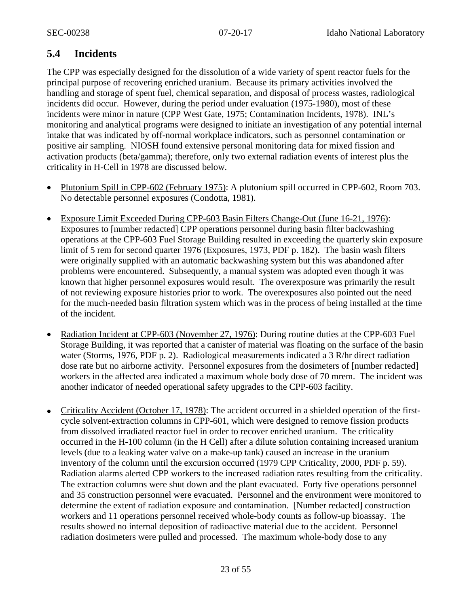### <span id="page-22-0"></span>**5.4 Incidents**

The CPP was especially designed for the dissolution of a wide variety of spent reactor fuels for the principal purpose of recovering enriched uranium. Because its primary activities involved the handling and storage of spent fuel, chemical separation, and disposal of process wastes, radiological incidents did occur. However, during the period under evaluation (1975-1980), most of these incidents were minor in nature (CPP West Gate, 1975; Contamination Incidents, 1978). INL's monitoring and analytical programs were designed to initiate an investigation of any potential internal intake that was indicated by off-normal workplace indicators, such as personnel contamination or positive air sampling. NIOSH found extensive personal monitoring data for mixed fission and activation products (beta/gamma); therefore, only two external radiation events of interest plus the criticality in H-Cell in 1978 are discussed below.

- Plutonium Spill in CPP-602 (February 1975): A plutonium spill occurred in CPP-602, Room 703. No detectable personnel exposures (Condotta, 1981).
- Exposure Limit Exceeded During CPP-603 Basin Filters Change-Out (June 16-21, 1976): Exposures to [number redacted] CPP operations personnel during basin filter backwashing operations at the CPP-603 Fuel Storage Building resulted in exceeding the quarterly skin exposure limit of 5 rem for second quarter 1976 (Exposures, 1973, PDF p. 182). The basin wash filters were originally supplied with an automatic backwashing system but this was abandoned after problems were encountered. Subsequently, a manual system was adopted even though it was known that higher personnel exposures would result. The overexposure was primarily the result of not reviewing exposure histories prior to work. The overexposures also pointed out the need for the much-needed basin filtration system which was in the process of being installed at the time of the incident.
- Radiation Incident at CPP-603 (November 27, 1976): During routine duties at the CPP-603 Fuel Storage Building, it was reported that a canister of material was floating on the surface of the basin water (Storms, 1976, PDF p. 2). Radiological measurements indicated a 3 R/hr direct radiation dose rate but no airborne activity. Personnel exposures from the dosimeters of [number redacted] workers in the affected area indicated a maximum whole body dose of 70 mrem. The incident was another indicator of needed operational safety upgrades to the CPP-603 facility.
- Criticality Accident (October 17, 1978): The accident occurred in a shielded operation of the firstcycle solvent-extraction columns in CPP-601, which were designed to remove fission products from dissolved irradiated reactor fuel in order to recover enriched uranium. The criticality occurred in the H-100 column (in the H Cell) after a dilute solution containing increased uranium levels (due to a leaking water valve on a make-up tank) caused an increase in the uranium inventory of the column until the excursion occurred (1979 CPP Criticality, 2000, PDF p. 59). Radiation alarms alerted CPP workers to the increased radiation rates resulting from the criticality. The extraction columns were shut down and the plant evacuated. Forty five operations personnel and 35 construction personnel were evacuated. Personnel and the environment were monitored to determine the extent of radiation exposure and contamination. [Number redacted] construction workers and 11 operations personnel received whole-body counts as follow-up bioassay. The results showed no internal deposition of radioactive material due to the accident. Personnel radiation dosimeters were pulled and processed. The maximum whole-body dose to any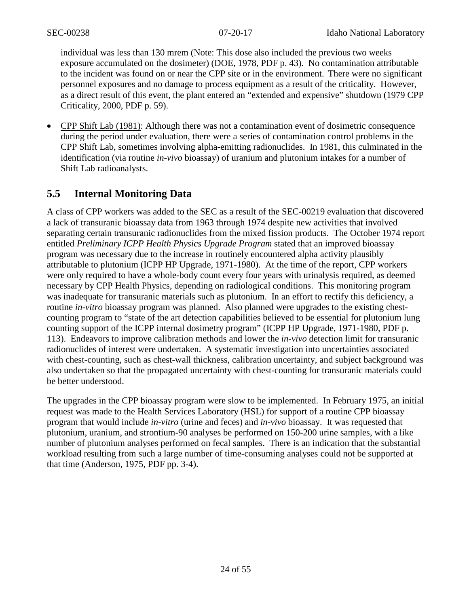individual was less than 130 mrem (Note: This dose also included the previous two weeks exposure accumulated on the dosimeter) (DOE, 1978, PDF p. 43). No contamination attributable to the incident was found on or near the CPP site or in the environment. There were no significant personnel exposures and no damage to process equipment as a result of the criticality. However, as a direct result of this event, the plant entered an "extended and expensive" shutdown (1979 CPP Criticality, 2000, PDF p. 59).

• CPP Shift Lab (1981): Although there was not a contamination event of dosimetric consequence during the period under evaluation, there were a series of contamination control problems in the CPP Shift Lab, sometimes involving alpha-emitting radionuclides. In 1981, this culminated in the identification (via routine *in-vivo* bioassay) of uranium and plutonium intakes for a number of Shift Lab radioanalysts.

#### <span id="page-23-0"></span>**5.5 Internal Monitoring Data**

A class of CPP workers was added to the SEC as a result of the SEC-00219 evaluation that discovered a lack of transuranic bioassay data from 1963 through 1974 despite new activities that involved separating certain transuranic radionuclides from the mixed fission products. The October 1974 report entitled *Preliminary ICPP Health Physics Upgrade Program* stated that an improved bioassay program was necessary due to the increase in routinely encountered alpha activity plausibly attributable to plutonium (ICPP HP Upgrade, 1971-1980). At the time of the report, CPP workers were only required to have a whole-body count every four years with urinalysis required, as deemed necessary by CPP Health Physics, depending on radiological conditions. This monitoring program was inadequate for transuranic materials such as plutonium. In an effort to rectify this deficiency, a routine *in-vitro* bioassay program was planned. Also planned were upgrades to the existing chestcounting program to "state of the art detection capabilities believed to be essential for plutonium lung counting support of the ICPP internal dosimetry program" (ICPP HP Upgrade, 1971-1980, PDF p. 113). Endeavors to improve calibration methods and lower the *in-vivo* detection limit for transuranic radionuclides of interest were undertaken. A systematic investigation into uncertainties associated with chest-counting, such as chest-wall thickness, calibration uncertainty, and subject background was also undertaken so that the propagated uncertainty with chest-counting for transuranic materials could be better understood.

The upgrades in the CPP bioassay program were slow to be implemented. In February 1975, an initial request was made to the Health Services Laboratory (HSL) for support of a routine CPP bioassay program that would include *in-vitro* (urine and feces) and *in-vivo* bioassay. It was requested that plutonium, uranium, and strontium-90 analyses be performed on 150-200 urine samples, with a like number of plutonium analyses performed on fecal samples. There is an indication that the substantial workload resulting from such a large number of time-consuming analyses could not be supported at that time (Anderson, 1975, PDF pp. 3-4).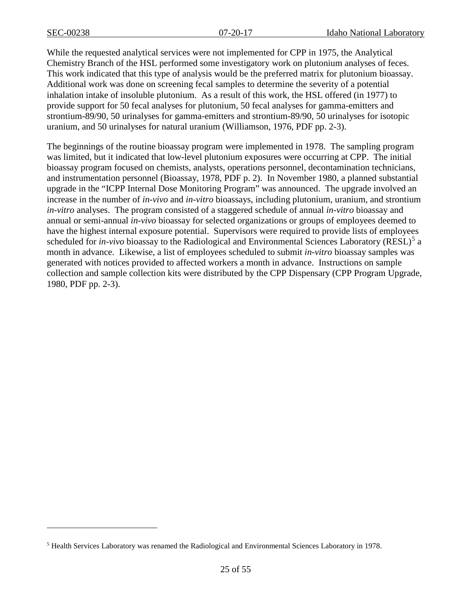$\overline{a}$ 

While the requested analytical services were not implemented for CPP in 1975, the Analytical Chemistry Branch of the HSL performed some investigatory work on plutonium analyses of feces. This work indicated that this type of analysis would be the preferred matrix for plutonium bioassay. Additional work was done on screening fecal samples to determine the severity of a potential inhalation intake of insoluble plutonium. As a result of this work, the HSL offered (in 1977) to provide support for 50 fecal analyses for plutonium, 50 fecal analyses for gamma-emitters and strontium-89/90, 50 urinalyses for gamma-emitters and strontium-89/90, 50 urinalyses for isotopic uranium, and 50 urinalyses for natural uranium (Williamson, 1976, PDF pp. 2-3).

The beginnings of the routine bioassay program were implemented in 1978. The sampling program was limited, but it indicated that low-level plutonium exposures were occurring at CPP. The initial bioassay program focused on chemists, analysts, operations personnel, decontamination technicians, and instrumentation personnel (Bioassay, 1978, PDF p. 2). In November 1980, a planned substantial upgrade in the "ICPP Internal Dose Monitoring Program" was announced. The upgrade involved an increase in the number of *in-vivo* and *in-vitro* bioassays, including plutonium, uranium, and strontium *in-vitro* analyses. The program consisted of a staggered schedule of annual *in-vitro* bioassay and annual or semi-annual *in-vivo* bioassay for selected organizations or groups of employees deemed to have the highest internal exposure potential. Supervisors were required to provide lists of employees scheduled for *in-vivo* bioassay to the Radiological and Environmental Sciences Laboratory (RESL)<sup>[5](#page-24-0)</sup> a month in advance. Likewise, a list of employees scheduled to submit *in-vitro* bioassay samples was generated with notices provided to affected workers a month in advance. Instructions on sample collection and sample collection kits were distributed by the CPP Dispensary (CPP Program Upgrade, 1980, PDF pp. 2-3).

<span id="page-24-0"></span><sup>5</sup> Health Services Laboratory was renamed the Radiological and Environmental Sciences Laboratory in 1978.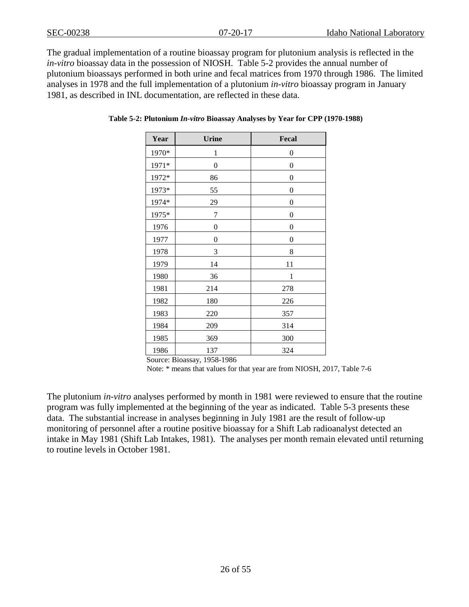| Year               | <b>Urine</b>            | Fecal            |
|--------------------|-------------------------|------------------|
| 1970*              | $\mathbf{1}$            | $\boldsymbol{0}$ |
| 1971*              | 0                       | $\boldsymbol{0}$ |
| 1972*              | 86                      | $\boldsymbol{0}$ |
| 1973*              | 55                      | $\boldsymbol{0}$ |
| 1974*              | 29                      | $\boldsymbol{0}$ |
| 1975*              | 7                       | $\boldsymbol{0}$ |
| 1976               | $\boldsymbol{0}$        | $\boldsymbol{0}$ |
| 1977               | $\boldsymbol{0}$        | $\boldsymbol{0}$ |
| 1978               | $\mathfrak{Z}$          | 8                |
| 1979               | 14                      | 11               |
| 1980               | 36                      | 1                |
| 1981               | 214                     | 278              |
| 1982               | 180                     | 226              |
| 1983               | 220                     | 357              |
| 1984               | 209                     | 314              |
| 1985               | 369                     | 300              |
| 1986<br>$\Omega$ . | 137<br>n:<br>1050, 1007 | 324              |

<span id="page-25-0"></span>

|  |  |  | Table 5-2: Plutonium <i>In-vitro</i> Bioassay Analyses by Year for CPP (1970-1988) |
|--|--|--|------------------------------------------------------------------------------------|
|  |  |  |                                                                                    |

Source: Bioassay, 1958-1986

Note: \* means that values for that year are from NIOSH, 2017, Table 7-6

The plutonium *in-vitro* analyses performed by month in 1981 were reviewed to ensure that the routine program was fully implemented at the beginning of the year as indicated. Table 5-3 presents these data. The substantial increase in analyses beginning in July 1981 are the result of follow-up monitoring of personnel after a routine positive bioassay for a Shift Lab radioanalyst detected an intake in May 1981 (Shift Lab Intakes, 1981). The analyses per month remain elevated until returning to routine levels in October 1981.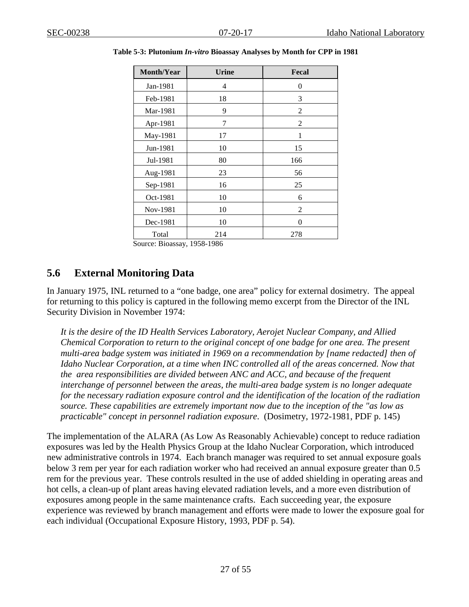| <b>Month/Year</b> | <b>Urine</b> | Fecal          |
|-------------------|--------------|----------------|
| Jan-1981          | 4            | $\overline{0}$ |
| Feb-1981          | 18           | 3              |
| Mar-1981          | 9            | 2              |
| Apr-1981          | 7            | $\overline{2}$ |
| May-1981          | 17           | $\mathbf{1}$   |
| Jun-1981          | 10           | 15             |
| Jul-1981          | 80           | 166            |
| Aug-1981          | 23           | 56             |
| Sep-1981          | 16           | 25             |
| Oct-1981          | 10           | 6              |
| Nov-1981          | 10           | 2              |
| Dec-1981          | 10           | $\theta$       |
| Total             | 214          | 278            |

<span id="page-26-1"></span>**Table 5-3: Plutonium** *In-vitro* **Bioassay Analyses by Month for CPP in 1981**

Source: Bioassay, 1958-1986

#### <span id="page-26-0"></span>**5.6 External Monitoring Data**

In January 1975, INL returned to a "one badge, one area" policy for external dosimetry. The appeal for returning to this policy is captured in the following memo excerpt from the Director of the INL Security Division in November 1974:

*It is the desire of the ID Health Services Laboratory, Aerojet Nuclear Company, and Allied Chemical Corporation to return to the original concept of one badge for one area. The present multi-area badge system was initiated in 1969 on a recommendation by [name redacted] then of Idaho Nuclear Corporation, at a time when INC controlled all of the areas concerned. Now that the area responsibilities are divided between ANC and ACC, and because of the frequent interchange of personnel between the areas, the multi-area badge system is no longer adequate for the necessary radiation exposure control and the identification of the location of the radiation source. These capabilities are extremely important now due to the inception of the "as low as practicable" concept in personnel radiation exposure*. (Dosimetry, 1972-1981, PDF p. 145)

The implementation of the ALARA (As Low As Reasonably Achievable) concept to reduce radiation exposures was led by the Health Physics Group at the Idaho Nuclear Corporation, which introduced new administrative controls in 1974. Each branch manager was required to set annual exposure goals below 3 rem per year for each radiation worker who had received an annual exposure greater than 0.5 rem for the previous year. These controls resulted in the use of added shielding in operating areas and hot cells, a clean-up of plant areas having elevated radiation levels, and a more even distribution of exposures among people in the same maintenance crafts. Each succeeding year, the exposure experience was reviewed by branch management and efforts were made to lower the exposure goal for each individual (Occupational Exposure History, 1993, PDF p. 54).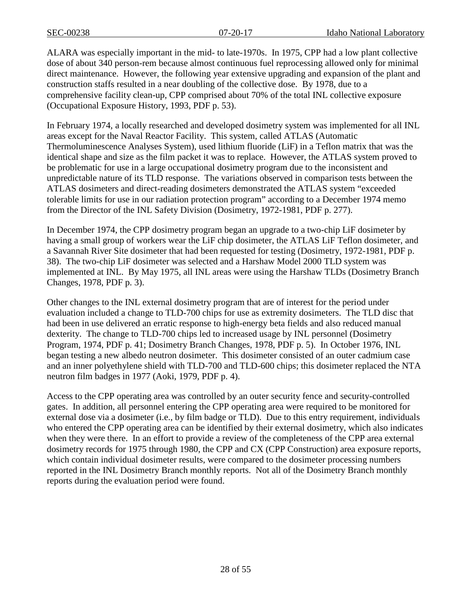ALARA was especially important in the mid- to late-1970s. In 1975, CPP had a low plant collective dose of about 340 person-rem because almost continuous fuel reprocessing allowed only for minimal direct maintenance. However, the following year extensive upgrading and expansion of the plant and construction staffs resulted in a near doubling of the collective dose. By 1978, due to a comprehensive facility clean-up, CPP comprised about 70% of the total INL collective exposure (Occupational Exposure History, 1993, PDF p. 53).

In February 1974, a locally researched and developed dosimetry system was implemented for all INL areas except for the Naval Reactor Facility. This system, called ATLAS (Automatic Thermoluminescence Analyses System), used lithium fluoride (LiF) in a Teflon matrix that was the identical shape and size as the film packet it was to replace. However, the ATLAS system proved to be problematic for use in a large occupational dosimetry program due to the inconsistent and unpredictable nature of its TLD response. The variations observed in comparison tests between the ATLAS dosimeters and direct-reading dosimeters demonstrated the ATLAS system "exceeded tolerable limits for use in our radiation protection program" according to a December 1974 memo from the Director of the INL Safety Division (Dosimetry, 1972-1981, PDF p. 277).

In December 1974, the CPP dosimetry program began an upgrade to a two-chip LiF dosimeter by having a small group of workers wear the LiF chip dosimeter, the ATLAS LiF Teflon dosimeter, and a Savannah River Site dosimeter that had been requested for testing (Dosimetry, 1972-1981, PDF p. 38). The two-chip LiF dosimeter was selected and a Harshaw Model 2000 TLD system was implemented at INL. By May 1975, all INL areas were using the Harshaw TLDs (Dosimetry Branch Changes, 1978, PDF p. 3).

Other changes to the INL external dosimetry program that are of interest for the period under evaluation included a change to TLD-700 chips for use as extremity dosimeters. The TLD disc that had been in use delivered an erratic response to high-energy beta fields and also reduced manual dexterity. The change to TLD-700 chips led to increased usage by INL personnel (Dosimetry Program, 1974, PDF p. 41; Dosimetry Branch Changes, 1978, PDF p. 5). In October 1976, INL began testing a new albedo neutron dosimeter. This dosimeter consisted of an outer cadmium case and an inner polyethylene shield with TLD-700 and TLD-600 chips; this dosimeter replaced the NTA neutron film badges in 1977 (Aoki, 1979, PDF p. 4).

Access to the CPP operating area was controlled by an outer security fence and security-controlled gates. In addition, all personnel entering the CPP operating area were required to be monitored for external dose via a dosimeter (i.e., by film badge or TLD). Due to this entry requirement, individuals who entered the CPP operating area can be identified by their external dosimetry, which also indicates when they were there. In an effort to provide a review of the completeness of the CPP area external dosimetry records for 1975 through 1980, the CPP and CX (CPP Construction) area exposure reports, which contain individual dosimeter results, were compared to the dosimeter processing numbers reported in the INL Dosimetry Branch monthly reports. Not all of the Dosimetry Branch monthly reports during the evaluation period were found.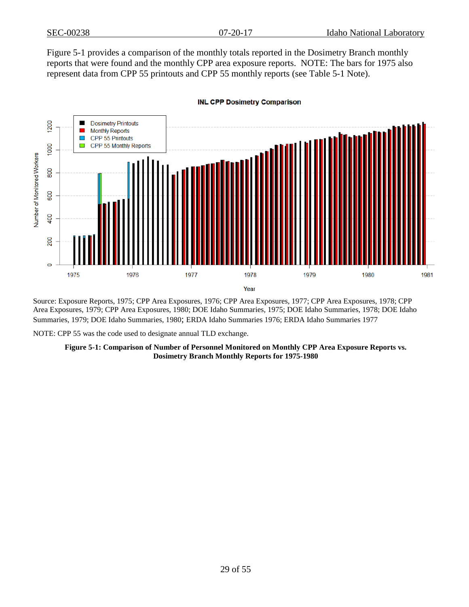Figure 5-1 provides a comparison of the monthly totals reported in the Dosimetry Branch monthly reports that were found and the monthly CPP area exposure reports. NOTE: The bars for 1975 also represent data from CPP 55 printouts and CPP 55 monthly reports (see Table 5-1 Note).



**INL CPP Dosimetry Comparison** 

Source: Exposure Reports, 1975; CPP Area Exposures, 1976; CPP Area Exposures, 1977; CPP Area Exposures, 1978; CPP Area Exposures, 1979; CPP Area Exposures, 1980; DOE Idaho Summaries, 1975; DOE Idaho Summaries, 1978; DOE Idaho Summaries, 1979; DOE Idaho Summaries, 1980; ERDA Idaho Summaries 1976; ERDA Idaho Summaries 1977

<span id="page-28-0"></span>NOTE: CPP 55 was the code used to designate annual TLD exchange.

**Figure 5-1: Comparison of Number of Personnel Monitored on Monthly CPP Area Exposure Reports vs. Dosimetry Branch Monthly Reports for 1975-1980**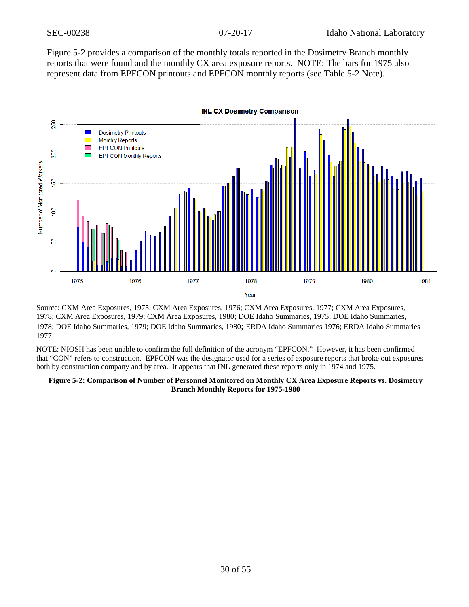Figure 5-2 provides a comparison of the monthly totals reported in the Dosimetry Branch monthly reports that were found and the monthly CX area exposure reports. NOTE: The bars for 1975 also represent data from EPFCON printouts and EPFCON monthly reports (see Table 5-2 Note).



Source: CXM Area Exposures, 1975; CXM Area Exposures, 1976; CXM Area Exposures, 1977; CXM Area Exposures, 1978; CXM Area Exposures, 1979; CXM Area Exposures, 1980; DOE Idaho Summaries, 1975; DOE Idaho Summaries, 1978; DOE Idaho Summaries, 1979; DOE Idaho Summaries, 1980; ERDA Idaho Summaries 1976; ERDA Idaho Summaries 1977

NOTE: NIOSH has been unable to confirm the full definition of the acronym "EPFCON." However, it has been confirmed that "CON" refers to construction. EPFCON was the designator used for a series of exposure reports that broke out exposures both by construction company and by area. It appears that INL generated these reports only in 1974 and 1975.

#### <span id="page-29-0"></span>**Figure 5-2: Comparison of Number of Personnel Monitored on Monthly CX Area Exposure Reports vs. Dosimetry Branch Monthly Reports for 1975-1980**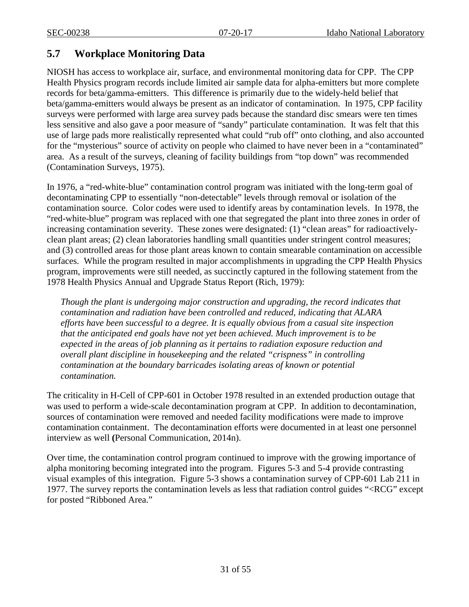# **Table of Contents**

| 1.0  |                                                      |  |
|------|------------------------------------------------------|--|
| 2.0  |                                                      |  |
| 3.0  |                                                      |  |
| 4.0  | 4.1<br>4.2<br>4.3<br>4.4<br>4.5                      |  |
| 5.0  | 5.1<br>5.2<br>5.3<br>5.4<br>5.5<br>5.6<br>5.7<br>5.8 |  |
| 6.0  | 6.1<br>6.2<br>6.3                                    |  |
| 7.0  |                                                      |  |
| 8.0  |                                                      |  |
| 9.0  |                                                      |  |
| 10.0 |                                                      |  |
| 11.0 |                                                      |  |
|      |                                                      |  |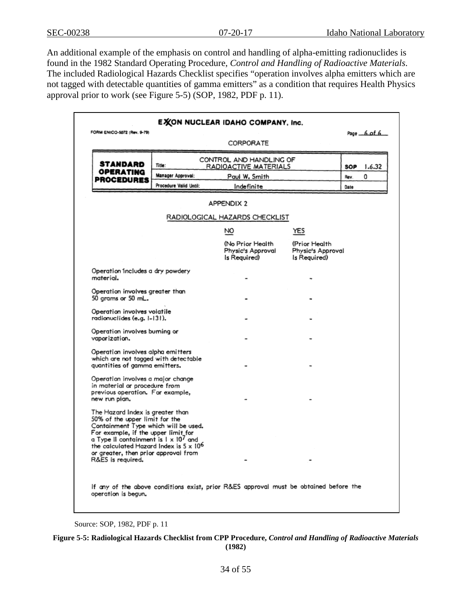An additional example of the emphasis on control and handling of alpha-emitting radionuclides is found in the 1982 Standard Operating Procedure, *Control and Handling of Radioactive Materials*. The included Radiological Hazards Checklist specifies "operation involves alpha emitters which are not tagged with detectable quantities of gamma emitters" as a condition that requires Health Physics approval prior to work (see Figure 5-5) (SOP, 1982, PDF p. 11).

| FORM ENICO-5072 (Rev. 9-79)                                                                                                                                                                                                                 |                        | <b>EXON NUCLEAR IDAHO COMPANY, Inc.</b>                                               |                                                    | Page <u>6 of 6</u> |  |  |  |
|---------------------------------------------------------------------------------------------------------------------------------------------------------------------------------------------------------------------------------------------|------------------------|---------------------------------------------------------------------------------------|----------------------------------------------------|--------------------|--|--|--|
|                                                                                                                                                                                                                                             |                        | CORPORATE                                                                             |                                                    |                    |  |  |  |
| STANDARD                                                                                                                                                                                                                                    | Title:                 | CONTROL AND HANDLING OF<br>RADIOACTIVE MATERIALS                                      |                                                    | SOP<br>1.6.32      |  |  |  |
| <b>OPERATING</b><br>PROCEDURES                                                                                                                                                                                                              | Manager Approval:      | 0<br>Rev.                                                                             |                                                    |                    |  |  |  |
|                                                                                                                                                                                                                                             | Procedure Valid Until: | Indefinite                                                                            |                                                    | Date               |  |  |  |
|                                                                                                                                                                                                                                             |                        | <b>APPENDIX 2</b>                                                                     |                                                    |                    |  |  |  |
|                                                                                                                                                                                                                                             |                        | RADIOLOGICAL HAZARDS CHECKLIST                                                        |                                                    |                    |  |  |  |
|                                                                                                                                                                                                                                             |                        | NO                                                                                    | YES                                                |                    |  |  |  |
|                                                                                                                                                                                                                                             |                        | (No Prior Health<br>Physic's Approval<br>ls Required)                                 | (Prior Health<br>Physic's Approval<br>ls Required) |                    |  |  |  |
| Operation includes a dry powdery<br>material.                                                                                                                                                                                               |                        |                                                                                       |                                                    |                    |  |  |  |
| Operation involves greater than<br>50 grams or 50 mL.                                                                                                                                                                                       |                        |                                                                                       |                                                    |                    |  |  |  |
| Operation involves volatile<br>radionuclides (e.g. 1-131).                                                                                                                                                                                  |                        |                                                                                       |                                                    |                    |  |  |  |
| Operation involves burning or<br>vaporization.                                                                                                                                                                                              |                        |                                                                                       |                                                    |                    |  |  |  |
| Operation involves alpha emitters<br>which are not tagged with detectable<br>quantities of gamma emitters.                                                                                                                                  |                        |                                                                                       |                                                    |                    |  |  |  |
| Operation involves a major change<br>in material or procedure from<br>previous operation. For example,<br>new run pian.                                                                                                                     |                        |                                                                                       |                                                    |                    |  |  |  |
| The Hazard Index is greater than<br>50% of the upper limit for the<br>Containment Type which will be used.<br>For example, if the upper limit_for<br>a Type II containment is 1 x 107 and<br>the calculated Hazard Index is $5 \times 10^6$ |                        |                                                                                       |                                                    |                    |  |  |  |
| or greater, then prior approval from<br>R&ES is required.                                                                                                                                                                                   |                        |                                                                                       |                                                    |                    |  |  |  |
| operation is begun.                                                                                                                                                                                                                         |                        | If any of the above conditions exist, prior R&ES approval must be obtained before the |                                                    |                    |  |  |  |

Source: SOP, 1982, PDF p. 11

<span id="page-33-0"></span>**Figure 5-5: Radiological Hazards Checklist from CPP Procedure,** *Control and Handling of Radioactive Materials* **(1982)**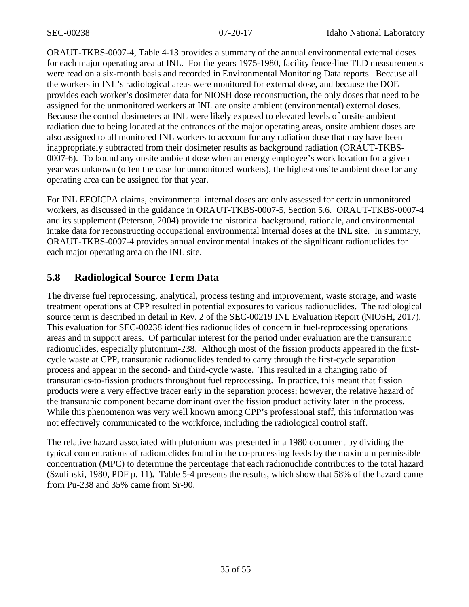ORAUT-TKBS-0007-4, Table 4-13 provides a summary of the annual environmental external doses for each major operating area at INL. For the years 1975-1980, facility fence-line TLD measurements were read on a six-month basis and recorded in Environmental Monitoring Data reports. Because all the workers in INL's radiological areas were monitored for external dose, and because the DOE provides each worker's dosimeter data for NIOSH dose reconstruction, the only doses that need to be assigned for the unmonitored workers at INL are onsite ambient (environmental) external doses. Because the control dosimeters at INL were likely exposed to elevated levels of onsite ambient radiation due to being located at the entrances of the major operating areas, onsite ambient doses are also assigned to all monitored INL workers to account for any radiation dose that may have been inappropriately subtracted from their dosimeter results as background radiation (ORAUT-TKBS-0007-6). To bound any onsite ambient dose when an energy employee's work location for a given year was unknown (often the case for unmonitored workers), the highest onsite ambient dose for any operating area can be assigned for that year.

For INL EEOICPA claims, environmental internal doses are only assessed for certain unmonitored workers, as discussed in the guidance in ORAUT-TKBS-0007-5, Section 5.6. ORAUT-TKBS-0007-4 and its supplement (Peterson, 2004) provide the historical background, rationale, and environmental intake data for reconstructing occupational environmental internal doses at the INL site. In summary, ORAUT-TKBS-0007-4 provides annual environmental intakes of the significant radionuclides for each major operating area on the INL site.

### <span id="page-34-0"></span>**5.8 Radiological Source Term Data**

The diverse fuel reprocessing, analytical, process testing and improvement, waste storage, and waste treatment operations at CPP resulted in potential exposures to various radionuclides. The radiological source term is described in detail in Rev. 2 of the SEC-00219 INL Evaluation Report (NIOSH, 2017). This evaluation for SEC-00238 identifies radionuclides of concern in fuel-reprocessing operations areas and in support areas. Of particular interest for the period under evaluation are the transuranic radionuclides, especially plutonium-238. Although most of the fission products appeared in the firstcycle waste at CPP, transuranic radionuclides tended to carry through the first-cycle separation process and appear in the second- and third-cycle waste. This resulted in a changing ratio of transuranics-to-fission products throughout fuel reprocessing. In practice, this meant that fission products were a very effective tracer early in the separation process; however, the relative hazard of the transuranic component became dominant over the fission product activity later in the process. While this phenomenon was very well known among CPP's professional staff, this information was not effectively communicated to the workforce, including the radiological control staff.

The relative hazard associated with plutonium was presented in a 1980 document by dividing the typical concentrations of radionuclides found in the co-processing feeds by the maximum permissible concentration (MPC) to determine the percentage that each radionuclide contributes to the total hazard (Szulinski, 1980, PDF p. 11)**.** Table 5-4 presents the results, which show that 58% of the hazard came from Pu-238 and 35% came from Sr-90.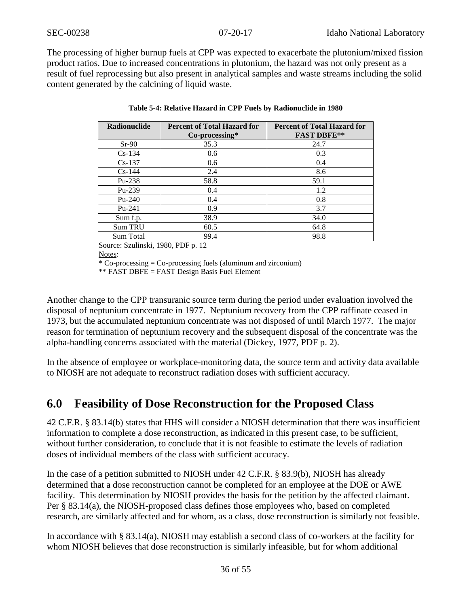<span id="page-35-1"></span>The processing of higher burnup fuels at CPP was expected to exacerbate the plutonium/mixed fission product ratios. Due to increased concentrations in plutonium, the hazard was not only present as a result of fuel reprocessing but also present in analytical samples and waste streams including the solid content generated by the calcining of liquid waste.

| <b>Radionuclide</b> | <b>Percent of Total Hazard for</b><br>$Co$ -processing* | <b>Percent of Total Hazard for</b><br><b>FAST DBFE**</b> |
|---------------------|---------------------------------------------------------|----------------------------------------------------------|
| $Sr-90$             | 35.3                                                    | 24.7                                                     |
| $Cs-134$            | 0.6                                                     | 0.3                                                      |
| $Cs-137$            | 0.6                                                     | 0.4                                                      |
| $Cs-144$            | 2.4                                                     | 8.6                                                      |
| $Pu-238$            | 58.8                                                    | 59.1                                                     |
| $Pu-239$            | 0.4                                                     | 1.2                                                      |
| $Pu-240$            | 0.4                                                     | 0.8                                                      |
| $Pu-241$            | 0.9                                                     | 3.7                                                      |
| Sum f.p.            | 38.9                                                    | 34.0                                                     |
| Sum TRU             | 60.5                                                    | 64.8                                                     |
| Sum Total           | 99.4                                                    | 98.8                                                     |

| Table 5-4: Relative Hazard in CPP Fuels by Radionuclide in 1980 |  |  |  |  |  |
|-----------------------------------------------------------------|--|--|--|--|--|
|                                                                 |  |  |  |  |  |

Source: Szulinski, 1980, PDF p. 12

Notes:

\* Co-processing = Co-processing fuels (aluminum and zirconium)

\*\* FAST DBFE = FAST Design Basis Fuel Element

Another change to the CPP transuranic source term during the period under evaluation involved the disposal of neptunium concentrate in 1977. Neptunium recovery from the CPP raffinate ceased in 1973, but the accumulated neptunium concentrate was not disposed of until March 1977. The major reason for termination of neptunium recovery and the subsequent disposal of the concentrate was the alpha-handling concerns associated with the material (Dickey, 1977, PDF p. 2).

In the absence of employee or workplace-monitoring data, the source term and activity data available to NIOSH are not adequate to reconstruct radiation doses with sufficient accuracy.

# <span id="page-35-0"></span>**6.0 Feasibility of Dose Reconstruction for the Proposed Class**

42 C.F.R. § 83.14(b) states that HHS will consider a NIOSH determination that there was insufficient information to complete a dose reconstruction, as indicated in this present case, to be sufficient, without further consideration, to conclude that it is not feasible to estimate the levels of radiation doses of individual members of the class with sufficient accuracy.

In the case of a petition submitted to NIOSH under 42 C.F.R. § 83.9(b), NIOSH has already determined that a dose reconstruction cannot be completed for an employee at the DOE or AWE facility. This determination by NIOSH provides the basis for the petition by the affected claimant. Per § 83.14(a), the NIOSH-proposed class defines those employees who, based on completed research, are similarly affected and for whom, as a class, dose reconstruction is similarly not feasible.

In accordance with § 83.14(a), NIOSH may establish a second class of co-workers at the facility for whom NIOSH believes that dose reconstruction is similarly infeasible, but for whom additional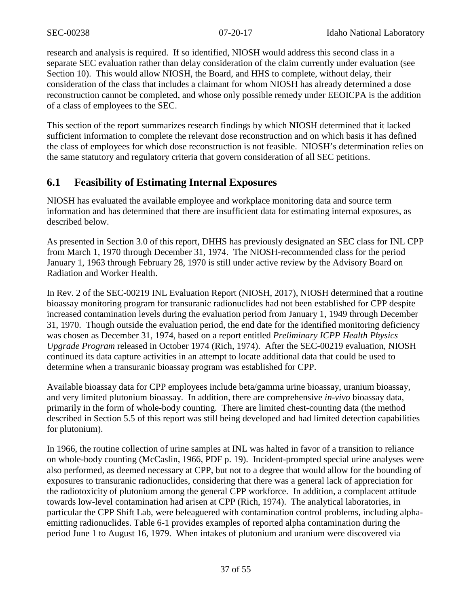research and analysis is required. If so identified, NIOSH would address this second class in a separate SEC evaluation rather than delay consideration of the claim currently under evaluation (see Section 10). This would allow NIOSH, the Board, and HHS to complete, without delay, their consideration of the class that includes a claimant for whom NIOSH has already determined a dose reconstruction cannot be completed, and whose only possible remedy under EEOICPA is the addition of a class of employees to the SEC.

This section of the report summarizes research findings by which NIOSH determined that it lacked sufficient information to complete the relevant dose reconstruction and on which basis it has defined the class of employees for which dose reconstruction is not feasible. NIOSH's determination relies on the same statutory and regulatory criteria that govern consideration of all SEC petitions.

### <span id="page-36-0"></span>**6.1 Feasibility of Estimating Internal Exposures**

NIOSH has evaluated the available employee and workplace monitoring data and source term information and has determined that there are insufficient data for estimating internal exposures, as described below.

As presented in Section 3.0 of this report, DHHS has previously designated an SEC class for INL CPP from March 1, 1970 through December 31, 1974. The NIOSH-recommended class for the period January 1, 1963 through February 28, 1970 is still under active review by the Advisory Board on Radiation and Worker Health.

In Rev. 2 of the SEC-00219 INL Evaluation Report (NIOSH, 2017), NIOSH determined that a routine bioassay monitoring program for transuranic radionuclides had not been established for CPP despite increased contamination levels during the evaluation period from January 1, 1949 through December 31, 1970. Though outside the evaluation period, the end date for the identified monitoring deficiency was chosen as December 31, 1974, based on a report entitled *Preliminary ICPP Health Physics Upgrade Program* released in October 1974 (Rich, 1974). After the SEC-00219 evaluation, NIOSH continued its data capture activities in an attempt to locate additional data that could be used to determine when a transuranic bioassay program was established for CPP.

Available bioassay data for CPP employees include beta/gamma urine bioassay, uranium bioassay, and very limited plutonium bioassay. In addition, there are comprehensive *in-vivo* bioassay data, primarily in the form of whole-body counting. There are limited chest-counting data (the method described in Section 5.5 of this report was still being developed and had limited detection capabilities for plutonium).

In 1966, the routine collection of urine samples at INL was halted in favor of a transition to reliance on whole-body counting (McCaslin, 1966, PDF p. 19). Incident-prompted special urine analyses were also performed, as deemed necessary at CPP, but not to a degree that would allow for the bounding of exposures to transuranic radionuclides, considering that there was a general lack of appreciation for the radiotoxicity of plutonium among the general CPP workforce. In addition, a complacent attitude towards low-level contamination had arisen at CPP (Rich, 1974). The analytical laboratories, in particular the CPP Shift Lab, were beleaguered with contamination control problems, including alphaemitting radionuclides. Table 6-1 provides examples of reported alpha contamination during the period June 1 to August 16, 1979. When intakes of plutonium and uranium were discovered via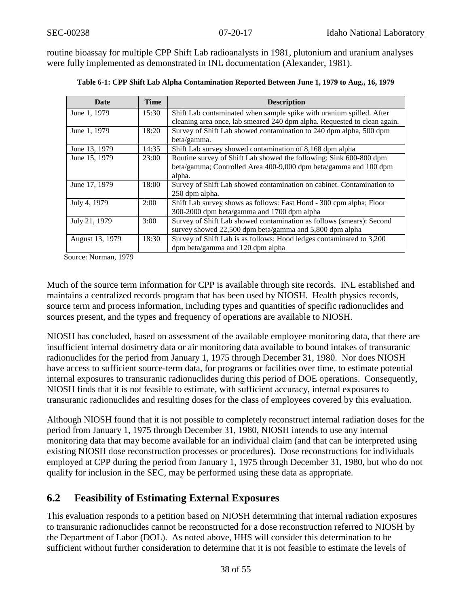routine bioassay for multiple CPP Shift Lab radioanalysts in 1981, plutonium and uranium analyses were fully implemented as demonstrated in INL documentation (Alexander, 1981).

<span id="page-37-1"></span>

| Date            | <b>Time</b> | <b>Description</b>                                                       |
|-----------------|-------------|--------------------------------------------------------------------------|
| June 1, 1979    | 15:30       | Shift Lab contaminated when sample spike with uranium spilled. After     |
|                 |             | cleaning area once, lab smeared 240 dpm alpha. Requested to clean again. |
| June 1, 1979    | 18:20       | Survey of Shift Lab showed contamination to 240 dpm alpha, 500 dpm       |
|                 |             | beta/gamma.                                                              |
| June 13, 1979   | 14:35       | Shift Lab survey showed contamination of 8,168 dpm alpha                 |
| June 15, 1979   | 23:00       | Routine survey of Shift Lab showed the following: Sink 600-800 dpm       |
|                 |             | beta/gamma; Controlled Area 400-9,000 dpm beta/gamma and 100 dpm         |
|                 |             | alpha.                                                                   |
| June 17, 1979   | 18:00       | Survey of Shift Lab showed contamination on cabinet. Contamination to    |
|                 |             | 250 dpm alpha.                                                           |
| July 4, 1979    | 2:00        | Shift Lab survey shows as follows: East Hood - 300 cpm alpha; Floor      |
|                 |             | 300-2000 dpm beta/gamma and 1700 dpm alpha                               |
| July 21, 1979   | 3:00        | Survey of Shift Lab showed contamination as follows (smears): Second     |
|                 |             | survey showed 22,500 dpm beta/gamma and 5,800 dpm alpha                  |
| August 13, 1979 | 18:30       | Survey of Shift Lab is as follows: Hood ledges contaminated to 3,200     |
|                 |             | dpm beta/gamma and 120 dpm alpha                                         |

| Table 6-1: CPP Shift Lab Alpha Contamination Reported Between June 1, 1979 to Aug., 16, 1979 |  |  |  |  |
|----------------------------------------------------------------------------------------------|--|--|--|--|
|----------------------------------------------------------------------------------------------|--|--|--|--|

Source: Norman, 1979

Much of the source term information for CPP is available through site records. INL established and maintains a centralized records program that has been used by NIOSH. Health physics records, source term and process information, including types and quantities of specific radionuclides and sources present, and the types and frequency of operations are available to NIOSH.

NIOSH has concluded, based on assessment of the available employee monitoring data, that there are insufficient internal dosimetry data or air monitoring data available to bound intakes of transuranic radionuclides for the period from January 1, 1975 through December 31, 1980. Nor does NIOSH have access to sufficient source-term data, for programs or facilities over time, to estimate potential internal exposures to transuranic radionuclides during this period of DOE operations. Consequently, NIOSH finds that it is not feasible to estimate, with sufficient accuracy, internal exposures to transuranic radionuclides and resulting doses for the class of employees covered by this evaluation.

Although NIOSH found that it is not possible to completely reconstruct internal radiation doses for the period from January 1, 1975 through December 31, 1980, NIOSH intends to use any internal monitoring data that may become available for an individual claim (and that can be interpreted using existing NIOSH dose reconstruction processes or procedures). Dose reconstructions for individuals employed at CPP during the period from January 1, 1975 through December 31, 1980, but who do not qualify for inclusion in the SEC, may be performed using these data as appropriate.

#### <span id="page-37-0"></span>**6.2 Feasibility of Estimating External Exposures**

This evaluation responds to a petition based on NIOSH determining that internal radiation exposures to transuranic radionuclides cannot be reconstructed for a dose reconstruction referred to NIOSH by the Department of Labor (DOL). As noted above, HHS will consider this determination to be sufficient without further consideration to determine that it is not feasible to estimate the levels of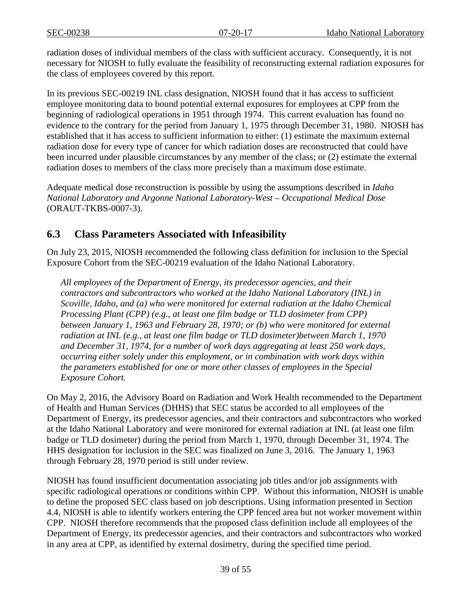radiation doses of individual members of the class with sufficient accuracy. Consequently, it is not necessary for NIOSH to fully evaluate the feasibility of reconstructing external radiation exposures for the class of employees covered by this report.

In its previous SEC-00219 INL class designation, NIOSH found that it has access to sufficient employee monitoring data to bound potential external exposures for employees at CPP from the beginning of radiological operations in 1951 through 1974. This current evaluation has found no evidence to the contrary for the period from January 1, 1975 through December 31, 1980. NIOSH has established that it has access to sufficient information to either: (1) estimate the maximum external radiation dose for every type of cancer for which radiation doses are reconstructed that could have been incurred under plausible circumstances by any member of the class; or (2) estimate the external radiation doses to members of the class more precisely than a maximum dose estimate.

Adequate medical dose reconstruction is possible by using the assumptions described in *Idaho National Laboratory and Argonne National Laboratory-West – Occupational Medical Dose* (ORAUT-TKBS-0007-3).

#### <span id="page-38-0"></span>**6.3 Class Parameters Associated with Infeasibility**

On July 23, 2015, NIOSH recommended the following class definition for inclusion to the Special Exposure Cohort from the SEC-00219 evaluation of the Idaho National Laboratory.

*All employees of the Department of Energy, its predecessor agencies, and their contractors and subcontractors who worked at the Idaho National Laboratory (INL) in Scoville, Idaho, and (a) who were monitored for external radiation at the Idaho Chemical Processing Plant (CPP) (e.g., at least one film badge or TLD dosimeter from CPP) between January 1, 1963 and February 28, 1970; or (b) who were monitored for external radiation at INL (e.g., at least one film badge or TLD dosimeter)between March 1, 1970 and December 31, 1974, for a number of work days aggregating at least 250 work days, occurring either solely under this employment, or in combination with work days within the parameters established for one or more other classes of employees in the Special Exposure Cohort.* 

On May 2, 2016, the Advisory Board on Radiation and Work Health recommended to the Department of Health and Human Services (DHHS) that SEC status be accorded to all employees of the Department of Energy, its predecessor agencies, and their contractors and subcontractors who worked at the Idaho National Laboratory and were monitored for external radiation at INL (at least one film badge or TLD dosimeter) during the period from March 1, 1970, through December 31, 1974. The HHS designation for inclusion in the SEC was finalized on June 3, 2016. The January 1, 1963 through February 28, 1970 period is still under review.

NIOSH has found insufficient documentation associating job titles and/or job assignments with specific radiological operations or conditions within CPP. Without this information, NIOSH is unable to define the proposed SEC class based on job descriptions. Using information presented in Section 4.4, NIOSH is able to identify workers entering the CPP fenced area but not worker movement within CPP. NIOSH therefore recommends that the proposed class definition include all employees of the Department of Energy, its predecessor agencies, and their contractors and subcontractors who worked in any area at CPP, as identified by external dosimetry, during the specified time period.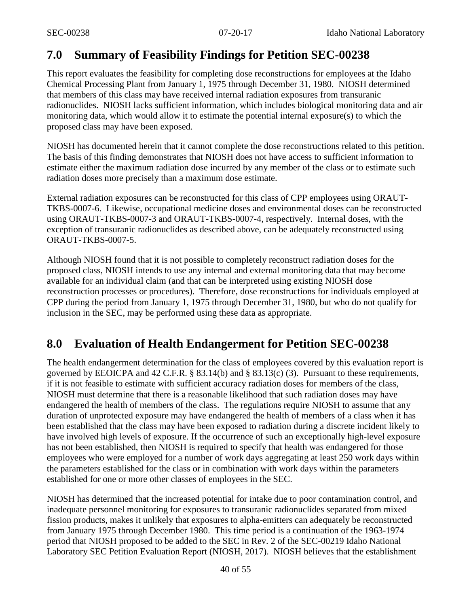# <span id="page-39-0"></span>**7.0 Summary of Feasibility Findings for Petition SEC-00238**

This report evaluates the feasibility for completing dose reconstructions for employees at the Idaho Chemical Processing Plant from January 1, 1975 through December 31, 1980. NIOSH determined that members of this class may have received internal radiation exposures from transuranic radionuclides. NIOSH lacks sufficient information, which includes biological monitoring data and air monitoring data, which would allow it to estimate the potential internal exposure(s) to which the proposed class may have been exposed.

NIOSH has documented herein that it cannot complete the dose reconstructions related to this petition. The basis of this finding demonstrates that NIOSH does not have access to sufficient information to estimate either the maximum radiation dose incurred by any member of the class or to estimate such radiation doses more precisely than a maximum dose estimate.

External radiation exposures can be reconstructed for this class of CPP employees using ORAUT-TKBS-0007-6. Likewise, occupational medicine doses and environmental doses can be reconstructed using ORAUT-TKBS-0007-3 and ORAUT-TKBS-0007-4, respectively. Internal doses, with the exception of transuranic radionuclides as described above, can be adequately reconstructed using ORAUT-TKBS-0007-5.

Although NIOSH found that it is not possible to completely reconstruct radiation doses for the proposed class, NIOSH intends to use any internal and external monitoring data that may become available for an individual claim (and that can be interpreted using existing NIOSH dose reconstruction processes or procedures). Therefore, dose reconstructions for individuals employed at CPP during the period from January 1, 1975 through December 31, 1980, but who do not qualify for inclusion in the SEC, may be performed using these data as appropriate.

## <span id="page-39-1"></span>**8.0 Evaluation of Health Endangerment for Petition SEC-00238**

The health endangerment determination for the class of employees covered by this evaluation report is governed by EEOICPA and 42 C.F.R. § 83.14(b) and § 83.13(c) (3). Pursuant to these requirements, if it is not feasible to estimate with sufficient accuracy radiation doses for members of the class, NIOSH must determine that there is a reasonable likelihood that such radiation doses may have endangered the health of members of the class. The regulations require NIOSH to assume that any duration of unprotected exposure may have endangered the health of members of a class when it has been established that the class may have been exposed to radiation during a discrete incident likely to have involved high levels of exposure. If the occurrence of such an exceptionally high-level exposure has not been established, then NIOSH is required to specify that health was endangered for those employees who were employed for a number of work days aggregating at least 250 work days within the parameters established for the class or in combination with work days within the parameters established for one or more other classes of employees in the SEC.

NIOSH has determined that the increased potential for intake due to poor contamination control, and inadequate personnel monitoring for exposures to transuranic radionuclides separated from mixed fission products, makes it unlikely that exposures to alpha-emitters can adequately be reconstructed from January 1975 through December 1980. This time period is a continuation of the 1963-1974 period that NIOSH proposed to be added to the SEC in Rev. 2 of the SEC-00219 Idaho National Laboratory SEC Petition Evaluation Report (NIOSH, 2017). NIOSH believes that the establishment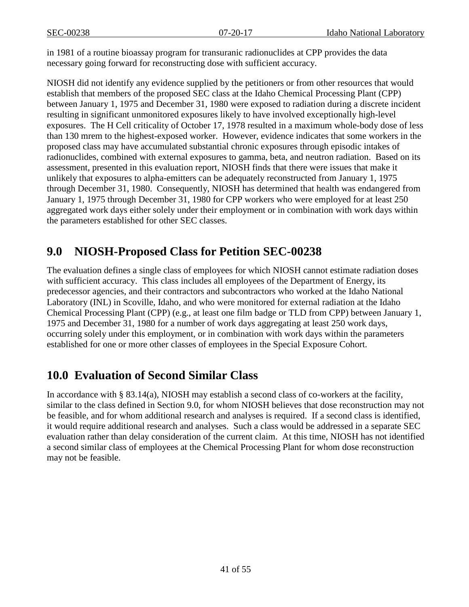in 1981 of a routine bioassay program for transuranic radionuclides at CPP provides the data necessary going forward for reconstructing dose with sufficient accuracy.

NIOSH did not identify any evidence supplied by the petitioners or from other resources that would establish that members of the proposed SEC class at the Idaho Chemical Processing Plant (CPP) between January 1, 1975 and December 31, 1980 were exposed to radiation during a discrete incident resulting in significant unmonitored exposures likely to have involved exceptionally high-level exposures. The H Cell criticality of October 17, 1978 resulted in a maximum whole-body dose of less than 130 mrem to the highest-exposed worker. However, evidence indicates that some workers in the proposed class may have accumulated substantial chronic exposures through episodic intakes of radionuclides, combined with external exposures to gamma, beta, and neutron radiation. Based on its assessment, presented in this evaluation report, NIOSH finds that there were issues that make it unlikely that exposures to alpha-emitters can be adequately reconstructed from January 1, 1975 through December 31, 1980. Consequently, NIOSH has determined that health was endangered from January 1, 1975 through December 31, 1980 for CPP workers who were employed for at least 250 aggregated work days either solely under their employment or in combination with work days within the parameters established for other SEC classes.

# <span id="page-40-0"></span>**9.0 NIOSH-Proposed Class for Petition SEC-00238**

The evaluation defines a single class of employees for which NIOSH cannot estimate radiation doses with sufficient accuracy. This class includes all employees of the Department of Energy, its predecessor agencies, and their contractors and subcontractors who worked at the Idaho National Laboratory (INL) in Scoville, Idaho, and who were monitored for external radiation at the Idaho Chemical Processing Plant (CPP) (e.g., at least one film badge or TLD from CPP) between January 1, 1975 and December 31, 1980 for a number of work days aggregating at least 250 work days, occurring solely under this employment, or in combination with work days within the parameters established for one or more other classes of employees in the Special Exposure Cohort.

# <span id="page-40-1"></span>**10.0 Evaluation of Second Similar Class**

In accordance with § 83.14(a), NIOSH may establish a second class of co-workers at the facility, similar to the class defined in Section 9.0, for whom NIOSH believes that dose reconstruction may not be feasible, and for whom additional research and analyses is required. If a second class is identified, it would require additional research and analyses. Such a class would be addressed in a separate SEC evaluation rather than delay consideration of the current claim. At this time, NIOSH has not identified a second similar class of employees at the Chemical Processing Plant for whom dose reconstruction may not be feasible.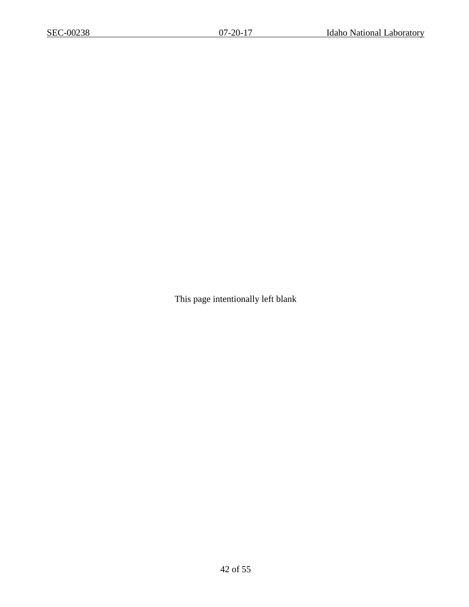This page intentionally left blank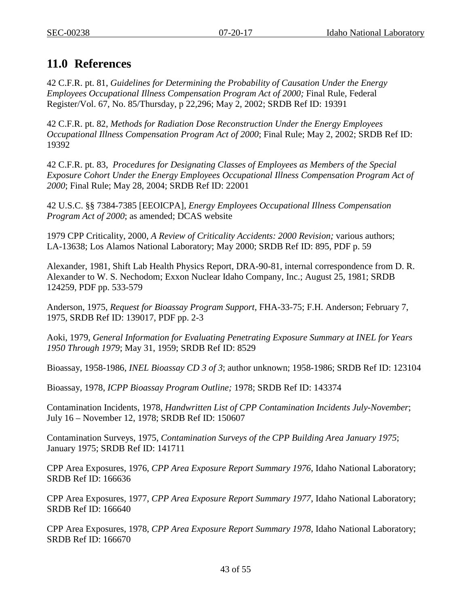# <span id="page-42-0"></span>**11.0 References**

42 C.F.R. pt. 81, *Guidelines for Determining the Probability of Causation Under the Energy Employees Occupational Illness Compensation Program Act of 2000;* Final Rule, Federal Register/Vol. 67, No. 85/Thursday, p 22,296; May 2, 2002; SRDB Ref ID: 19391

42 C.F.R. pt. 82, *Methods for Radiation Dose Reconstruction Under the Energy Employees Occupational Illness Compensation Program Act of 2000*; Final Rule; May 2, 2002; SRDB Ref ID: 19392

42 C.F.R. pt. 83, *Procedures for Designating Classes of Employees as Members of the Special Exposure Cohort Under the Energy Employees Occupational Illness Compensation Program Act of 2000*; Final Rule; May 28, 2004; SRDB Ref ID: 22001

42 U.S.C. §§ 7384-7385 [EEOICPA], *Energy Employees Occupational Illness Compensation Program Act of 2000*; as amended; DCAS website

1979 CPP Criticality, 2000, *A Review of Criticality Accidents: 2000 Revision;* various authors; LA-13638; Los Alamos National Laboratory; May 2000; SRDB Ref ID: 895, PDF p. 59

Alexander, 1981, Shift Lab Health Physics Report, DRA-90-81, internal correspondence from D. R. Alexander to W. S. Nechodom; Exxon Nuclear Idaho Company, Inc.; August 25, 1981; SRDB 124259, PDF pp. 533-579

Anderson, 1975, *Request for Bioassay Program Support*, FHA-33-75; F.H. Anderson; February 7, 1975, SRDB Ref ID: 139017, PDF pp. 2-3

Aoki, 1979, *General Information for Evaluating Penetrating Exposure Summary at INEL for Years 1950 Through 1979*; May 31, 1959; SRDB Ref ID: 8529

Bioassay, 1958-1986, *INEL Bioassay CD 3 of 3*; author unknown; 1958-1986; SRDB Ref ID: 123104

Bioassay, 1978, *ICPP Bioassay Program Outline;* 1978; SRDB Ref ID: 143374

Contamination Incidents, 1978, *Handwritten List of CPP Contamination Incidents July-November*; July 16 – November 12, 1978; SRDB Ref ID: 150607

Contamination Surveys, 1975, *Contamination Surveys of the CPP Building Area January 1975*; January 1975; SRDB Ref ID: 141711

CPP Area Exposures, 1976, *CPP Area Exposure Report Summary 1976*, Idaho National Laboratory; SRDB Ref ID: 166636

CPP Area Exposures, 1977, *CPP Area Exposure Report Summary 1977*, Idaho National Laboratory; SRDB Ref ID: 166640

CPP Area Exposures, 1978, *CPP Area Exposure Report Summary 1978*, Idaho National Laboratory; SRDB Ref ID: 166670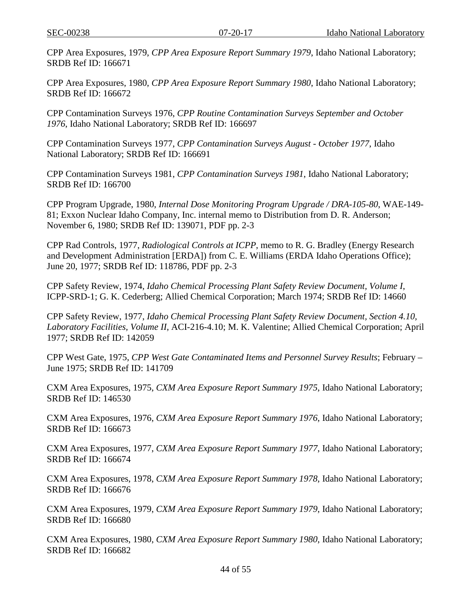CPP Area Exposures, 1979, *CPP Area Exposure Report Summary 1979*, Idaho National Laboratory; SRDB Ref ID: 166671

CPP Area Exposures, 1980, *CPP Area Exposure Report Summary 1980*, Idaho National Laboratory; SRDB Ref ID: 166672

CPP Contamination Surveys 1976, *CPP Routine Contamination Surveys September and October 1976*, Idaho National Laboratory; SRDB Ref ID: 166697

CPP Contamination Surveys 1977, *CPP Contamination Surveys August - October 1977*, Idaho National Laboratory; SRDB Ref ID: 166691

CPP Contamination Surveys 1981, *CPP Contamination Surveys 1981*, Idaho National Laboratory; SRDB Ref ID: 166700

CPP Program Upgrade, 1980, *Internal Dose Monitoring Program Upgrade / DRA-105-80*, WAE-149- 81; Exxon Nuclear Idaho Company, Inc. internal memo to Distribution from D. R. Anderson; November 6, 1980; SRDB Ref ID: 139071, PDF pp. 2-3

CPP Rad Controls, 1977, *Radiological Controls at ICPP*, memo to R. G. Bradley (Energy Research and Development Administration [ERDA]) from C. E. Williams (ERDA Idaho Operations Office); June 20, 1977; SRDB Ref ID: 118786, PDF pp. 2-3

CPP Safety Review, 1974, *Idaho Chemical Processing Plant Safety Review Document, Volume I*, ICPP-SRD-1; G. K. Cederberg; Allied Chemical Corporation; March 1974; SRDB Ref ID: 14660

CPP Safety Review, 1977, *Idaho Chemical Processing Plant Safety Review Document, Section 4.10, Laboratory Facilities, Volume II*, ACI-216-4.10; M. K. Valentine; Allied Chemical Corporation; April 1977; SRDB Ref ID: 142059

CPP West Gate, 1975, *CPP West Gate Contaminated Items and Personnel Survey Results*; February – June 1975; SRDB Ref ID: 141709

CXM Area Exposures, 1975, *CXM Area Exposure Report Summary 1975*, Idaho National Laboratory; SRDB Ref ID: 146530

CXM Area Exposures, 1976, *CXM Area Exposure Report Summary 1976*, Idaho National Laboratory; SRDB Ref ID: 166673

CXM Area Exposures, 1977, *CXM Area Exposure Report Summary 1977*, Idaho National Laboratory; SRDB Ref ID: 166674

CXM Area Exposures, 1978, *CXM Area Exposure Report Summary 1978*, Idaho National Laboratory; SRDB Ref ID: 166676

CXM Area Exposures, 1979, *CXM Area Exposure Report Summary 1979*, Idaho National Laboratory; SRDB Ref ID: 166680

CXM Area Exposures, 1980, *CXM Area Exposure Report Summary 1980*, Idaho National Laboratory; SRDB Ref ID: 166682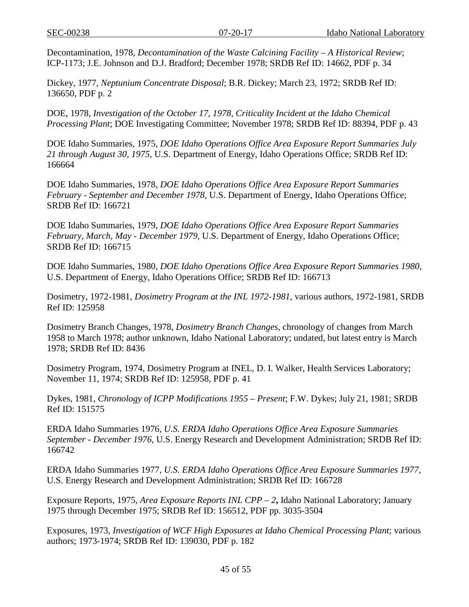Decontamination, 1978, *Decontamination of the Waste Calcining Facility – A Historical Review*; ICP-1173; J.E. Johnson and D.J. Bradford; December 1978; SRDB Ref ID: 14662, PDF p. 34

Dickey, 1977, *Neptunium Concentrate Disposal*; B.R. Dickey; March 23, 1972; SRDB Ref ID: 136650, PDF p. 2

DOE, 1978, *Investigation of the October 17, 1978, Criticality Incident at the Idaho Chemical Processing Plant*; DOE Investigating Committee; November 1978; SRDB Ref ID: 88394, PDF p. 43

DOE Idaho Summaries, 1975, *DOE Idaho Operations Office Area Exposure Report Summaries July 21 through August 30, 1975*, U.S. Department of Energy, Idaho Operations Office; SRDB Ref ID: 166664

DOE Idaho Summaries, 1978, *DOE Idaho Operations Office Area Exposure Report Summaries February - September and December 1978*, U.S. Department of Energy, Idaho Operations Office; SRDB Ref ID: 166721

DOE Idaho Summaries, 1979, *DOE Idaho Operations Office Area Exposure Report Summaries February, March, May - December 1979*, U.S. Department of Energy, Idaho Operations Office; SRDB Ref ID: 166715

DOE Idaho Summaries, 1980, *DOE Idaho Operations Office Area Exposure Report Summaries 1980*, U.S. Department of Energy, Idaho Operations Office; SRDB Ref ID: 166713

Dosimetry, 1972-1981, *Dosimetry Program at the INL 1972-1981*, various authors, 1972-1981, SRDB Ref ID: 125958

Dosimetry Branch Changes, 1978, *Dosimetry Branch Changes*, chronology of changes from March 1958 to March 1978; author unknown, Idaho National Laboratory; undated, but latest entry is March 1978; SRDB Ref ID: 8436

Dosimetry Program, 1974, Dosimetry Program at INEL, D. I. Walker, Health Services Laboratory; November 11, 1974; SRDB Ref ID: 125958, PDF p. 41

Dykes, 1981, *Chronology of ICPP Modifications 1955 – Present*; F.W. Dykes; July 21, 1981; SRDB Ref ID: 151575

ERDA Idaho Summaries 1976, *U.S. ERDA Idaho Operations Office Area Exposure Summaries September - December 1976*, U.S. Energy Research and Development Administration; SRDB Ref ID: 166742

ERDA Idaho Summaries 1977, *U.S. ERDA Idaho Operations Office Area Exposure Summaries 1977*, U.S. Energy Research and Development Administration; SRDB Ref ID: 166728

Exposure Reports, 1975*, Area Exposure Reports INL CPP – 2***,** Idaho National Laboratory; January 1975 through December 1975; SRDB Ref ID: 156512, PDF pp. 3035-3504

Exposures, 1973, *Investigation of WCF High Exposures at Idaho Chemical Processing Plant*; various authors; 1973-1974; SRDB Ref ID: 139030, PDF p. 182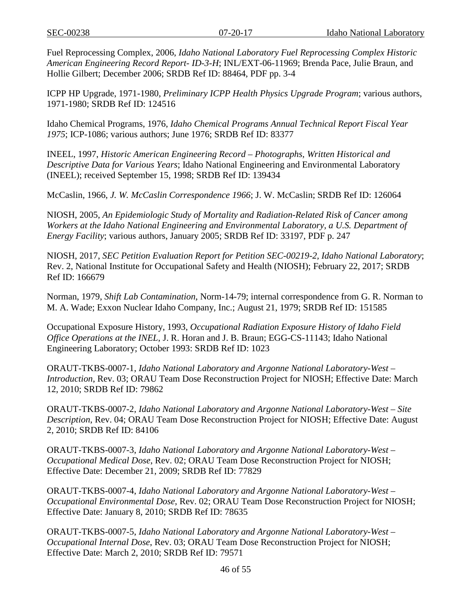Fuel Reprocessing Complex, 2006, *Idaho National Laboratory Fuel Reprocessing Complex Historic American Engineering Record Report- ID-3-H*; INL/EXT-06-11969; Brenda Pace, Julie Braun, and Hollie Gilbert; December 2006; SRDB Ref ID: 88464, PDF pp. 3-4

ICPP HP Upgrade, 1971-1980, *Preliminary ICPP Health Physics Upgrade Program*; various authors, 1971-1980; SRDB Ref ID: 124516

Idaho Chemical Programs, 1976, *Idaho Chemical Programs Annual Technical Report Fiscal Year 1975*; ICP-1086; various authors; June 1976; SRDB Ref ID: 83377

INEEL, 1997, *Historic American Engineering Record – Photographs, Written Historical and Descriptive Data for Various Years*; Idaho National Engineering and Environmental Laboratory (INEEL); received September 15, 1998; SRDB Ref ID: 139434

McCaslin, 1966, *J. W. McCaslin Correspondence 1966*; J. W. McCaslin; SRDB Ref ID: 126064

NIOSH, 2005, *An Epidemiologic Study of Mortality and Radiation-Related Risk of Cancer among Workers at the Idaho National Engineering and Environmental Laboratory, a U.S. Department of Energy Facility*; various authors, January 2005; SRDB Ref ID: 33197, PDF p. 247

NIOSH, 2017, *SEC Petition Evaluation Report for Petition SEC-00219-2, Idaho National Laboratory*; Rev. 2, National Institute for Occupational Safety and Health (NIOSH); February 22, 2017; SRDB Ref ID: 166679

Norman, 1979, *Shift Lab Contamination*, Norm-14-79; internal correspondence from G. R. Norman to M. A. Wade; Exxon Nuclear Idaho Company, Inc.; August 21, 1979; SRDB Ref ID: 151585

Occupational Exposure History, 1993, *Occupational Radiation Exposure History of Idaho Field Office Operations at the INEL*, J. R. Horan and J. B. Braun; EGG-CS-11143; Idaho National Engineering Laboratory; October 1993: SRDB Ref ID: 1023

ORAUT-TKBS-0007-1, *Idaho National Laboratory and Argonne National Laboratory-West – Introduction*, Rev. 03; ORAU Team Dose Reconstruction Project for NIOSH; Effective Date: March 12, 2010; SRDB Ref ID: 79862

ORAUT-TKBS-0007-2, *Idaho National Laboratory and Argonne National Laboratory-West – Site Description*, Rev. 04; ORAU Team Dose Reconstruction Project for NIOSH; Effective Date: August 2, 2010; SRDB Ref ID: 84106

ORAUT-TKBS-0007-3, *Idaho National Laboratory and Argonne National Laboratory-West – Occupational Medical Dose*, Rev. 02; ORAU Team Dose Reconstruction Project for NIOSH; Effective Date: December 21, 2009; SRDB Ref ID: 77829

ORAUT-TKBS-0007-4, *Idaho National Laboratory and Argonne National Laboratory-West – Occupational Environmental Dose*, Rev. 02; ORAU Team Dose Reconstruction Project for NIOSH; Effective Date: January 8, 2010; SRDB Ref ID: 78635

ORAUT-TKBS-0007-5, *Idaho National Laboratory and Argonne National Laboratory-West – Occupational Internal Dose*, Rev. 03; ORAU Team Dose Reconstruction Project for NIOSH; Effective Date: March 2, 2010; SRDB Ref ID: 79571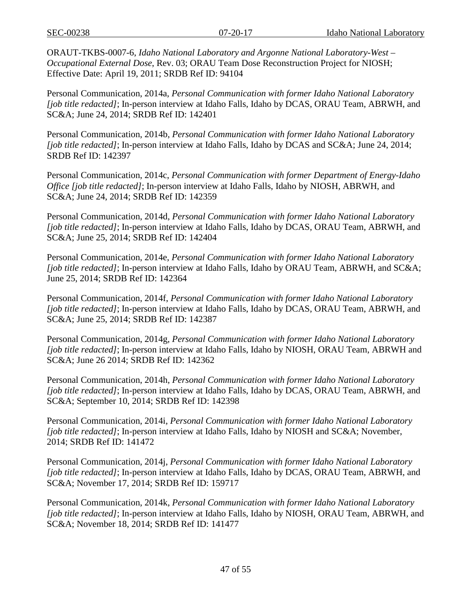ORAUT-TKBS-0007-6, *Idaho National Laboratory and Argonne National Laboratory-West – Occupational External Dose*, Rev. 03; ORAU Team Dose Reconstruction Project for NIOSH; Effective Date: April 19, 2011; SRDB Ref ID: 94104

Personal Communication, 2014a, *Personal Communication with former Idaho National Laboratory [job title redacted]*; In-person interview at Idaho Falls, Idaho by DCAS, ORAU Team, ABRWH, and SC&A; June 24, 2014; SRDB Ref ID: 142401

Personal Communication, 2014b, *Personal Communication with former Idaho National Laboratory (job title redacted)*; In-person interview at Idaho Falls, Idaho by DCAS and SC&A; June 24, 2014; SRDB Ref ID: 142397

Personal Communication, 2014c, *Personal Communication with former Department of Energy-Idaho Office [job title redacted]*; In-person interview at Idaho Falls, Idaho by NIOSH, ABRWH, and SC&A; June 24, 2014; SRDB Ref ID: 142359

Personal Communication, 2014d, *Personal Communication with former Idaho National Laboratory [job title redacted]*; In-person interview at Idaho Falls, Idaho by DCAS, ORAU Team, ABRWH, and SC&A; June 25, 2014; SRDB Ref ID: 142404

Personal Communication, 2014e, *Personal Communication with former Idaho National Laboratory [job title redacted]*; In-person interview at Idaho Falls, Idaho by ORAU Team, ABRWH, and SC&A; June 25, 2014; SRDB Ref ID: 142364

Personal Communication, 2014f, *Personal Communication with former Idaho National Laboratory [job title redacted]*; In-person interview at Idaho Falls, Idaho by DCAS, ORAU Team, ABRWH, and SC&A; June 25, 2014; SRDB Ref ID: 142387

Personal Communication, 2014g, *Personal Communication with former Idaho National Laboratory [job title redacted]*; In-person interview at Idaho Falls, Idaho by NIOSH, ORAU Team, ABRWH and SC&A; June 26 2014; SRDB Ref ID: 142362

Personal Communication, 2014h, *Personal Communication with former Idaho National Laboratory [job title redacted]*; In-person interview at Idaho Falls, Idaho by DCAS, ORAU Team, ABRWH, and SC&A; September 10, 2014; SRDB Ref ID: 142398

Personal Communication, 2014i, *Personal Communication with former Idaho National Laboratory [job title redacted]*; In-person interview at Idaho Falls, Idaho by NIOSH and SC&A; November, 2014; SRDB Ref ID: 141472

Personal Communication, 2014j, *Personal Communication with former Idaho National Laboratory [job title redacted]*; In-person interview at Idaho Falls, Idaho by DCAS, ORAU Team, ABRWH, and SC&A; November 17, 2014; SRDB Ref ID: 159717

Personal Communication, 2014k, *Personal Communication with former Idaho National Laboratory [job title redacted]*; In-person interview at Idaho Falls, Idaho by NIOSH, ORAU Team, ABRWH, and SC&A; November 18, 2014; SRDB Ref ID: 141477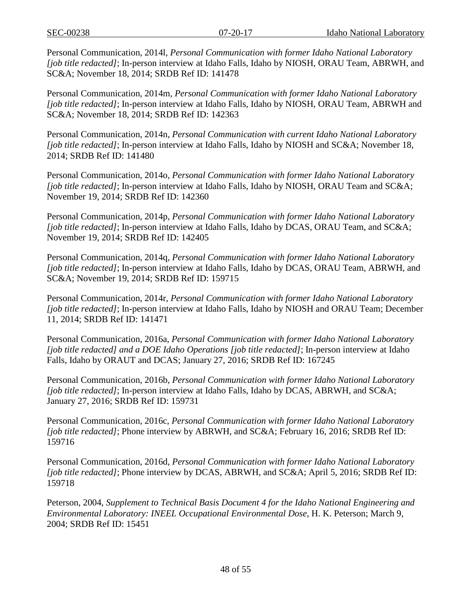Personal Communication, 2014l, *Personal Communication with former Idaho National Laboratory [job title redacted]*; In-person interview at Idaho Falls, Idaho by NIOSH, ORAU Team, ABRWH, and SC&A; November 18, 2014; SRDB Ref ID: 141478

Personal Communication, 2014m, *Personal Communication with former Idaho National Laboratory [job title redacted]*; In-person interview at Idaho Falls, Idaho by NIOSH, ORAU Team, ABRWH and SC&A; November 18, 2014; SRDB Ref ID: 142363

Personal Communication, 2014n, *Personal Communication with current Idaho National Laboratory [job title redacted]*; In-person interview at Idaho Falls, Idaho by NIOSH and SC&A; November 18, 2014; SRDB Ref ID: 141480

Personal Communication, 2014o, *Personal Communication with former Idaho National Laboratory [job title redacted]*; In-person interview at Idaho Falls, Idaho by NIOSH, ORAU Team and SC&A; November 19, 2014; SRDB Ref ID: 142360

Personal Communication, 2014p, *Personal Communication with former Idaho National Laboratory [job title redacted]*; In-person interview at Idaho Falls, Idaho by DCAS, ORAU Team, and SC&A; November 19, 2014; SRDB Ref ID: 142405

Personal Communication, 2014q, *Personal Communication with former Idaho National Laboratory [job title redacted]*; In-person interview at Idaho Falls, Idaho by DCAS, ORAU Team, ABRWH, and SC&A; November 19, 2014; SRDB Ref ID: 159715

Personal Communication, 2014r, *Personal Communication with former Idaho National Laboratory (iob title redacted)*; In-person interview at Idaho Falls, Idaho by NIOSH and ORAU Team; December 11, 2014; SRDB Ref ID: 141471

Personal Communication, 2016a, *Personal Communication with former Idaho National Laboratory [job title redacted] and a DOE Idaho Operations [job title redacted]*; In-person interview at Idaho Falls, Idaho by ORAUT and DCAS; January 27, 2016; SRDB Ref ID: 167245

Personal Communication, 2016b, *Personal Communication with former Idaho National Laboratory (job title redacted)*; In-person interview at Idaho Falls, Idaho by DCAS, ABRWH, and SC&A; January 27, 2016; SRDB Ref ID: 159731

Personal Communication, 2016c, *Personal Communication with former Idaho National Laboratory [job title redacted]*; Phone interview by ABRWH, and SC&A; February 16, 2016; SRDB Ref ID: 159716

Personal Communication, 2016d, *Personal Communication with former Idaho National Laboratory (job title redacted)*; Phone interview by DCAS, ABRWH, and SC&A; April 5, 2016; SRDB Ref ID: 159718

Peterson, 2004, *Supplement to Technical Basis Document 4 for the Idaho National Engineering and Environmental Laboratory: INEEL Occupational Environmental Dose*, H. K. Peterson; March 9, 2004; SRDB Ref ID: 15451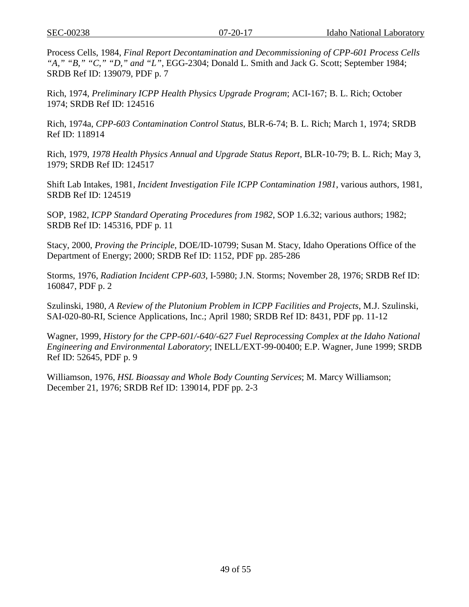Process Cells, 1984, *Final Report Decontamination and Decommissioning of CPP-601 Process Cells "A," "B," "C," "D," and "L"*, EGG-2304; Donald L. Smith and Jack G. Scott; September 1984; SRDB Ref ID: 139079, PDF p. 7

Rich, 1974, *Preliminary ICPP Health Physics Upgrade Program*; ACI-167; B. L. Rich; October 1974; SRDB Ref ID: 124516

Rich, 1974a, *CPP-603 Contamination Control Status*, BLR-6-74; B. L. Rich; March 1, 1974; SRDB Ref ID: 118914

Rich, 1979, *1978 Health Physics Annual and Upgrade Status Report*, BLR-10-79; B. L. Rich; May 3, 1979; SRDB Ref ID: 124517

Shift Lab Intakes, 1981, *Incident Investigation File ICPP Contamination 1981*, various authors, 1981, SRDB Ref ID: 124519

SOP, 1982, *ICPP Standard Operating Procedures from 1982*, SOP 1.6.32; various authors; 1982; SRDB Ref ID: 145316, PDF p. 11

Stacy, 2000, *Proving the Principle*, DOE/ID-10799; Susan M. Stacy, Idaho Operations Office of the Department of Energy; 2000; SRDB Ref ID: 1152, PDF pp. 285-286

Storms, 1976, *Radiation Incident CPP-603*, I-5980; J.N. Storms; November 28, 1976; SRDB Ref ID: 160847, PDF p. 2

Szulinski, 1980, *A Review of the Plutonium Problem in ICPP Facilities and Projects*, M.J. Szulinski, SAI-020-80-RI, Science Applications, Inc.; April 1980; SRDB Ref ID: 8431, PDF pp. 11-12

Wagner, 1999, *History for the CPP-601/-640/-627 Fuel Reprocessing Complex at the Idaho National Engineering and Environmental Laboratory*; INELL/EXT-99-00400; E.P. Wagner, June 1999; SRDB Ref ID: 52645, PDF p. 9

Williamson, 1976, *HSL Bioassay and Whole Body Counting Services*; M. Marcy Williamson; December 21, 1976; SRDB Ref ID: 139014, PDF pp. 2-3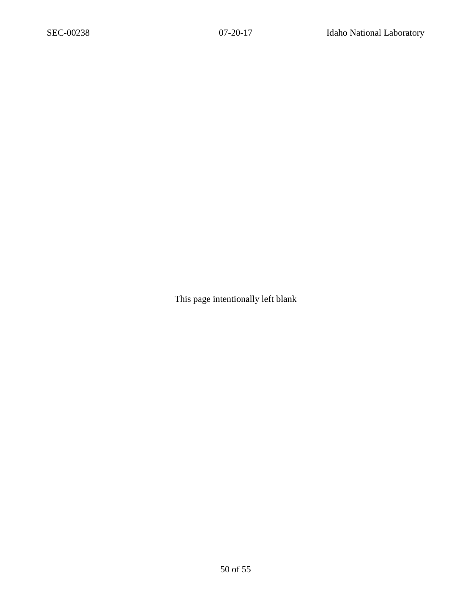This page intentionally left blank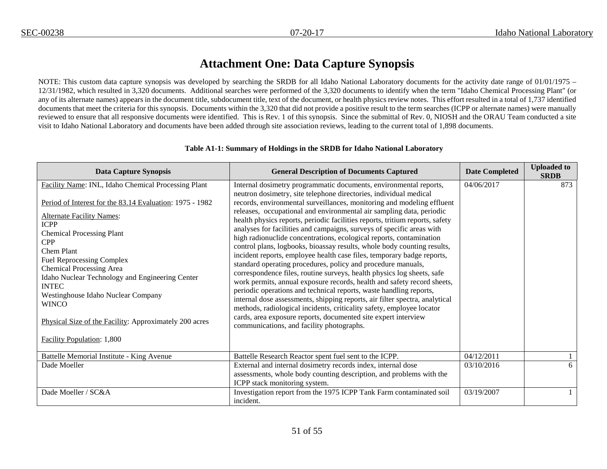# **Attachment One: Data Capture Synopsis**

NOTE: This custom data capture synopsis was developed by searching the SRDB for all Idaho National Laboratory documents for the activity date range of 01/01/1975 -12/31/1982, which resulted in 3,320 documents. Additional searches were performed of the 3,320 documents to identify when the term "Idaho Chemical Processing Plant" (or any of its alternate names) appears in the document title, subdocument title, text of the document, or health physics review notes. This effort resulted in a total of 1,737 identified documents that meet the criteria for this synopsis. Documents within the 3,320 that did not provide a positive result to the term searches (ICPP or alternate names) were manually reviewed to ensure that all responsive documents were identified. This is Rev. 1 of this synopsis. Since the submittal of Rev. 0, NIOSH and the ORAU Team conducted a site visit to Idaho National Laboratory and documents have been added through site association reviews, leading to the current total of 1,898 documents.

<span id="page-50-1"></span><span id="page-50-0"></span>

| <b>Data Capture Synopsis</b>                                                                                                                                                                                                                                                                                                                                                                                                                                                                                        | <b>General Description of Documents Captured</b>                                                                                                                                                                                                                                                                                                                                                                                                                                                                                                                                                                                                                                                                                                                                                                                                                                                                                                                                                                                                                                                                                                                                                                                                | <b>Date Completed</b> | <b>Uploaded to</b><br><b>SRDB</b> |
|---------------------------------------------------------------------------------------------------------------------------------------------------------------------------------------------------------------------------------------------------------------------------------------------------------------------------------------------------------------------------------------------------------------------------------------------------------------------------------------------------------------------|-------------------------------------------------------------------------------------------------------------------------------------------------------------------------------------------------------------------------------------------------------------------------------------------------------------------------------------------------------------------------------------------------------------------------------------------------------------------------------------------------------------------------------------------------------------------------------------------------------------------------------------------------------------------------------------------------------------------------------------------------------------------------------------------------------------------------------------------------------------------------------------------------------------------------------------------------------------------------------------------------------------------------------------------------------------------------------------------------------------------------------------------------------------------------------------------------------------------------------------------------|-----------------------|-----------------------------------|
| Facility Name: INL, Idaho Chemical Processing Plant<br>Period of Interest for the 83.14 Evaluation: 1975 - 1982<br><b>Alternate Facility Names:</b><br><b>ICPP</b><br><b>Chemical Processing Plant</b><br><b>CPP</b><br>Chem Plant<br>Fuel Reprocessing Complex<br>Chemical Processing Area<br>Idaho Nuclear Technology and Engineering Center<br><b>INTEC</b><br>Westinghouse Idaho Nuclear Company<br><b>WINCO</b><br>Physical Size of the Facility: Approximately 200 acres<br><b>Facility Population: 1,800</b> | Internal dosimetry programmatic documents, environmental reports,<br>neutron dosimetry, site telephone directories, individual medical<br>records, environmental surveillances, monitoring and modeling effluent<br>releases, occupational and environmental air sampling data, periodic<br>health physics reports, periodic facilities reports, tritium reports, safety<br>analyses for facilities and campaigns, surveys of specific areas with<br>high radionuclide concentrations, ecological reports, contamination<br>control plans, logbooks, bioassay results, whole body counting results,<br>incident reports, employee health case files, temporary badge reports,<br>standard operating procedures, policy and procedure manuals,<br>correspondence files, routine surveys, health physics log sheets, safe<br>work permits, annual exposure records, health and safety record sheets,<br>periodic operations and technical reports, waste handling reports,<br>internal dose assessments, shipping reports, air filter spectra, analytical<br>methods, radiological incidents, criticality safety, employee locator<br>cards, area exposure reports, documented site expert interview<br>communications, and facility photographs. | 04/06/2017            | 873                               |
| Battelle Memorial Institute - King Avenue                                                                                                                                                                                                                                                                                                                                                                                                                                                                           | Battelle Research Reactor spent fuel sent to the ICPP.                                                                                                                                                                                                                                                                                                                                                                                                                                                                                                                                                                                                                                                                                                                                                                                                                                                                                                                                                                                                                                                                                                                                                                                          | 04/12/2011            |                                   |
| Dade Moeller                                                                                                                                                                                                                                                                                                                                                                                                                                                                                                        | External and internal dosimetry records index, internal dose<br>assessments, whole body counting description, and problems with the<br>ICPP stack monitoring system.                                                                                                                                                                                                                                                                                                                                                                                                                                                                                                                                                                                                                                                                                                                                                                                                                                                                                                                                                                                                                                                                            | 03/10/2016            | 6                                 |
| Dade Moeller / SC&A                                                                                                                                                                                                                                                                                                                                                                                                                                                                                                 | Investigation report from the 1975 ICPP Tank Farm contaminated soil<br>incident.                                                                                                                                                                                                                                                                                                                                                                                                                                                                                                                                                                                                                                                                                                                                                                                                                                                                                                                                                                                                                                                                                                                                                                | 03/19/2007            |                                   |

#### **Table A1-1: Summary of Holdings in the SRDB for Idaho National Laboratory**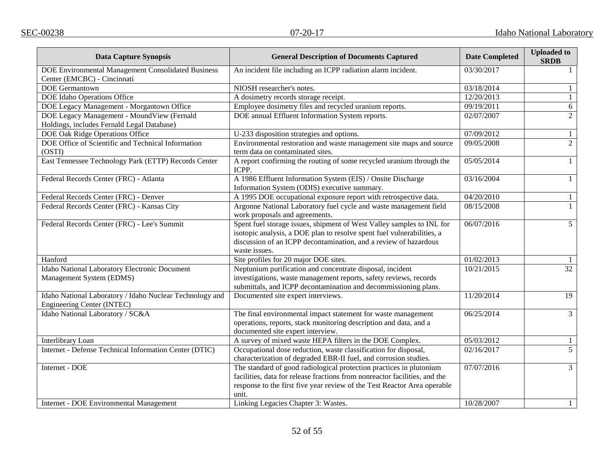| <b>Data Capture Synopsis</b>                                                                  | <b>General Description of Documents Captured</b>                                                                                                                                                                                       | <b>Date Completed</b> | <b>Uploaded</b> to<br><b>SRDB</b> |
|-----------------------------------------------------------------------------------------------|----------------------------------------------------------------------------------------------------------------------------------------------------------------------------------------------------------------------------------------|-----------------------|-----------------------------------|
| DOE Environmental Management Consolidated Business<br>Center (EMCBC) - Cincinnati             | An incident file including an ICPP radiation alarm incident.                                                                                                                                                                           | 03/30/2017            |                                   |
| <b>DOE</b> Germantown                                                                         | NIOSH researcher's notes.                                                                                                                                                                                                              | 03/18/2014            |                                   |
| <b>DOE</b> Idaho Operations Office                                                            | A dosimetry records storage receipt.                                                                                                                                                                                                   | 12/20/2013            | $\mathbf{1}$                      |
| DOE Legacy Management - Morgantown Office                                                     | Employee dosimetry files and recycled uranium reports.                                                                                                                                                                                 | 09/19/2011            | 6                                 |
| DOE Legacy Management - MoundView (Fernald<br>Holdings, includes Fernald Legal Database)      | DOE annual Effluent Information System reports.                                                                                                                                                                                        | 02/07/2007            | $\overline{2}$                    |
| <b>DOE Oak Ridge Operations Office</b>                                                        | U-233 disposition strategies and options.                                                                                                                                                                                              | 07/09/2012            | -1                                |
| DOE Office of Scientific and Technical Information<br>(OSTI)                                  | Environmental restoration and waste management site maps and source<br>term data on contaminated sites.                                                                                                                                | 09/05/2008            | 2                                 |
| East Tennessee Technology Park (ETTP) Records Center                                          | A report confirming the routing of some recycled uranium through the<br>ICPP.                                                                                                                                                          | 05/05/2014            | 1                                 |
| Federal Records Center (FRC) - Atlanta                                                        | A 1986 Effluent Information System (EIS) / Onsite Discharge<br>Information System (ODIS) executive summary.                                                                                                                            | 03/16/2004            | $\mathbf{1}$                      |
| Federal Records Center (FRC) - Denver                                                         | A 1995 DOE occupational exposure report with retrospective data.                                                                                                                                                                       | 04/20/2010            | 1                                 |
| Federal Records Center (FRC) - Kansas City                                                    | Argonne National Laboratory fuel cycle and waste management field<br>work proposals and agreements.                                                                                                                                    | 08/15/2008            | $\mathbf{1}$                      |
| Federal Records Center (FRC) - Lee's Summit                                                   | Spent fuel storage issues, shipment of West Valley samples to INL for<br>isotopic analysis, a DOE plan to resolve spent fuel vulnerabilities, a<br>discussion of an ICPP decontamination, and a review of hazardous<br>waste issues.   | 06/07/2016            | 5 <sup>5</sup>                    |
| Hanford                                                                                       | Site profiles for 20 major DOE sites.                                                                                                                                                                                                  | 01/02/2013            |                                   |
| Idaho National Laboratory Electronic Document<br>Management System (EDMS)                     | Neptunium purification and concentrate disposal, incident<br>investigations, waste management reports, safety reviews, records<br>submittals, and ICPP decontamination and decommissioning plans.                                      | 10/21/2015            | 32                                |
| Idaho National Laboratory / Idaho Nuclear Technology and<br><b>Engineering Center (INTEC)</b> | Documented site expert interviews.                                                                                                                                                                                                     | 11/20/2014            | $\overline{19}$                   |
| Idaho National Laboratory / SC&A                                                              | The final environmental impact statement for waste management<br>operations, reports, stack monitoring description and data, and a<br>documented site expert interview.                                                                | 06/25/2014            | 3                                 |
| Interlibrary Loan                                                                             | A survey of mixed waste HEPA filters in the DOE Complex.                                                                                                                                                                               | 05/03/2012            |                                   |
| Internet - Defense Technical Information Center (DTIC)                                        | Occupational dose reduction, waste classification for disposal,<br>characterization of degraded EBR-II fuel, and corrosion studies.                                                                                                    | 02/16/2017            | $\overline{5}$                    |
| Internet - DOE                                                                                | The standard of good radiological protection practices in plutonium<br>facilities, data for release fractions from nonreactor facilities, and the<br>response to the first five year review of the Test Reactor Area operable<br>unit. | 07/07/2016            | 3                                 |
| Internet - DOE Environmental Management                                                       | Linking Legacies Chapter 3: Wastes.                                                                                                                                                                                                    | 10/28/2007            | $\mathbf{1}$                      |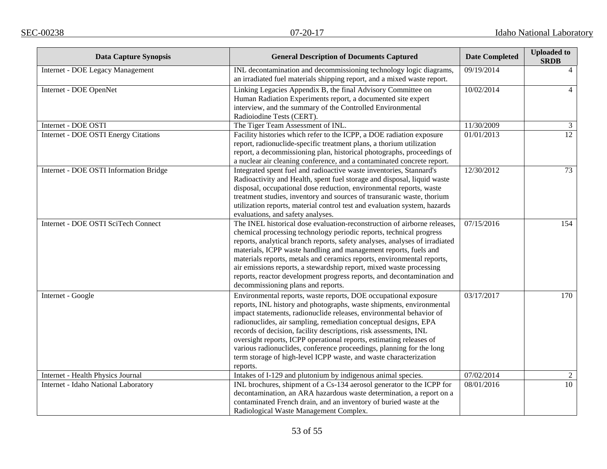| <b>Data Capture Synopsis</b>                | <b>General Description of Documents Captured</b>                                                                                                                                                                                                                                                                                                                                                                                                                                                                                                                                        | <b>Date Completed</b> | <b>Uploaded</b> to<br><b>SRDB</b> |
|---------------------------------------------|-----------------------------------------------------------------------------------------------------------------------------------------------------------------------------------------------------------------------------------------------------------------------------------------------------------------------------------------------------------------------------------------------------------------------------------------------------------------------------------------------------------------------------------------------------------------------------------------|-----------------------|-----------------------------------|
| Internet - DOE Legacy Management            | INL decontamination and decommissioning technology logic diagrams,<br>an irradiated fuel materials shipping report, and a mixed waste report.                                                                                                                                                                                                                                                                                                                                                                                                                                           | 09/19/2014            | $\overline{4}$                    |
| Internet - DOE OpenNet                      | Linking Legacies Appendix B, the final Advisory Committee on<br>Human Radiation Experiments report, a documented site expert<br>interview, and the summary of the Controlled Environmental<br>Radioiodine Tests (CERT).                                                                                                                                                                                                                                                                                                                                                                 | 10/02/2014            | $\overline{4}$                    |
| Internet - DOE OSTI                         | The Tiger Team Assessment of INL.                                                                                                                                                                                                                                                                                                                                                                                                                                                                                                                                                       | 11/30/2009            | 3                                 |
| <b>Internet - DOE OSTI Energy Citations</b> | Facility histories which refer to the ICPP, a DOE radiation exposure<br>report, radionuclide-specific treatment plans, a thorium utilization<br>report, a decommissioning plan, historical photographs, proceedings of<br>a nuclear air cleaning conference, and a contaminated concrete report.                                                                                                                                                                                                                                                                                        | 01/01/2013            | 12                                |
| Internet - DOE OSTI Information Bridge      | Integrated spent fuel and radioactive waste inventories, Stannard's<br>Radioactivity and Health, spent fuel storage and disposal, liquid waste<br>disposal, occupational dose reduction, environmental reports, waste<br>treatment studies, inventory and sources of transuranic waste, thorium<br>utilization reports, material control test and evaluation system, hazards<br>evaluations, and safety analyses.                                                                                                                                                                       | 12/30/2012            | 73                                |
| Internet - DOE OSTI SciTech Connect         | The INEL historical dose evaluation-reconstruction of airborne releases.<br>chemical processing technology periodic reports, technical progress<br>reports, analytical branch reports, safety analyses, analyses of irradiated<br>materials, ICPP waste handling and management reports, fuels and<br>materials reports, metals and ceramics reports, environmental reports,<br>air emissions reports, a stewardship report, mixed waste processing<br>reports, reactor development progress reports, and decontamination and<br>decommissioning plans and reports.                     | 07/15/2016            | $\overline{154}$                  |
| Internet - Google                           | Environmental reports, waste reports, DOE occupational exposure<br>reports, INL history and photographs, waste shipments, environmental<br>impact statements, radionuclide releases, environmental behavior of<br>radionuclides, air sampling, remediation conceptual designs, EPA<br>records of decision, facility descriptions, risk assessments, INL<br>oversight reports, ICPP operational reports, estimating releases of<br>various radionuclides, conference proceedings, planning for the long<br>term storage of high-level ICPP waste, and waste characterization<br>reports. | 03/17/2017            | 170                               |
| Internet - Health Physics Journal           | Intakes of I-129 and plutonium by indigenous animal species.                                                                                                                                                                                                                                                                                                                                                                                                                                                                                                                            | 07/02/2014            | $\overline{2}$                    |
| Internet - Idaho National Laboratory        | INL brochures, shipment of a Cs-134 aerosol generator to the ICPP for<br>decontamination, an ARA hazardous waste determination, a report on a<br>contaminated French drain, and an inventory of buried waste at the<br>Radiological Waste Management Complex.                                                                                                                                                                                                                                                                                                                           | 08/01/2016            | 10                                |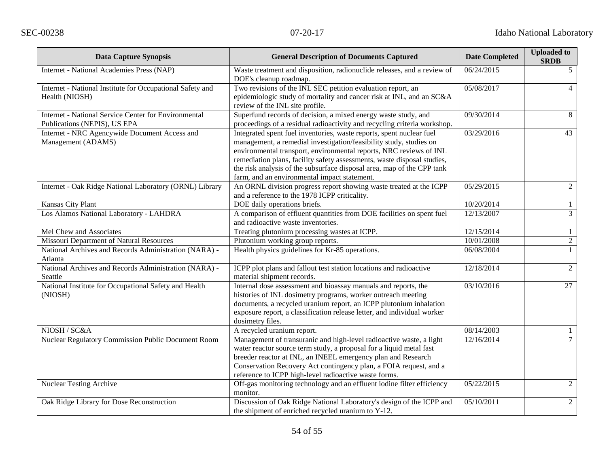| <b>Data Capture Synopsis</b>                                                                | <b>General Description of Documents Captured</b>                                                                                                                                                                                                                                                                                                                                                                      | <b>Date Completed</b> | <b>Uploaded</b> to<br><b>SRDB</b> |
|---------------------------------------------------------------------------------------------|-----------------------------------------------------------------------------------------------------------------------------------------------------------------------------------------------------------------------------------------------------------------------------------------------------------------------------------------------------------------------------------------------------------------------|-----------------------|-----------------------------------|
| Internet - National Academies Press (NAP)                                                   | Waste treatment and disposition, radionuclide releases, and a review of<br>DOE's cleanup roadmap.                                                                                                                                                                                                                                                                                                                     | 06/24/2015            | $\mathfrak{S}$                    |
| Internet - National Institute for Occupational Safety and<br>Health (NIOSH)                 | Two revisions of the INL SEC petition evaluation report, an<br>epidemiologic study of mortality and cancer risk at INL, and an SC&A<br>review of the INL site profile.                                                                                                                                                                                                                                                | 05/08/2017            | $\overline{4}$                    |
| <b>Internet - National Service Center for Environmental</b><br>Publications (NEPIS), US EPA | Superfund records of decision, a mixed energy waste study, and<br>proceedings of a residual radioactivity and recycling criteria workshop.                                                                                                                                                                                                                                                                            | 09/30/2014            | 8                                 |
| Internet - NRC Agencywide Document Access and<br>Management (ADAMS)                         | Integrated spent fuel inventories, waste reports, spent nuclear fuel<br>management, a remedial investigation/feasibility study, studies on<br>environmental transport, environmental reports, NRC reviews of INL<br>remediation plans, facility safety assessments, waste disposal studies,<br>the risk analysis of the subsurface disposal area, map of the CPP tank<br>farm, and an environmental impact statement. | 03/29/2016            | 43                                |
| Internet - Oak Ridge National Laboratory (ORNL) Library                                     | An ORNL division progress report showing waste treated at the ICPP<br>and a reference to the 1978 ICPP criticality.                                                                                                                                                                                                                                                                                                   | 05/29/2015            | $\overline{2}$                    |
| Kansas City Plant                                                                           | DOE daily operations briefs.                                                                                                                                                                                                                                                                                                                                                                                          | 10/20/2014            | $\mathbf{1}$                      |
| Los Alamos National Laboratory - LAHDRA                                                     | A comparison of effluent quantities from DOE facilities on spent fuel<br>and radioactive waste inventories.                                                                                                                                                                                                                                                                                                           | 12/13/2007            | $\overline{3}$                    |
| Mel Chew and Associates                                                                     | Treating plutonium processing wastes at ICPP.                                                                                                                                                                                                                                                                                                                                                                         | 12/15/2014            | $\mathbf{1}$                      |
| <b>Missouri Department of Natural Resources</b>                                             | Plutonium working group reports.                                                                                                                                                                                                                                                                                                                                                                                      | 10/01/2008            | $\overline{2}$                    |
| National Archives and Records Administration (NARA) -<br>Atlanta                            | Health physics guidelines for Kr-85 operations.                                                                                                                                                                                                                                                                                                                                                                       | 06/08/2004            | $\mathbf{1}$                      |
| National Archives and Records Administration (NARA) -<br>Seattle                            | ICPP plot plans and fallout test station locations and radioactive<br>material shipment records.                                                                                                                                                                                                                                                                                                                      | 12/18/2014            | 2                                 |
| National Institute for Occupational Safety and Health<br>(NIOSH)                            | Internal dose assessment and bioassay manuals and reports, the<br>histories of INL dosimetry programs, worker outreach meeting<br>documents, a recycled uranium report, an ICPP plutonium inhalation<br>exposure report, a classification release letter, and individual worker<br>dosimetry files.                                                                                                                   | 03/10/2016            | $\overline{27}$                   |
| NIOSH / SC&A                                                                                | A recycled uranium report.                                                                                                                                                                                                                                                                                                                                                                                            | 08/14/2003            | -1                                |
| Nuclear Regulatory Commission Public Document Room                                          | Management of transuranic and high-level radioactive waste, a light<br>water reactor source term study, a proposal for a liquid metal fast<br>breeder reactor at INL, an INEEL emergency plan and Research<br>Conservation Recovery Act contingency plan, a FOIA request, and a<br>reference to ICPP high-level radioactive waste forms.                                                                              | 12/16/2014            | 7                                 |
| Nuclear Testing Archive                                                                     | Off-gas monitoring technology and an effluent iodine filter efficiency<br>monitor.                                                                                                                                                                                                                                                                                                                                    | 05/22/2015            | $\overline{2}$                    |
| Oak Ridge Library for Dose Reconstruction                                                   | Discussion of Oak Ridge National Laboratory's design of the ICPP and<br>the shipment of enriched recycled uranium to Y-12.                                                                                                                                                                                                                                                                                            | 05/10/2011            | $\sqrt{2}$                        |